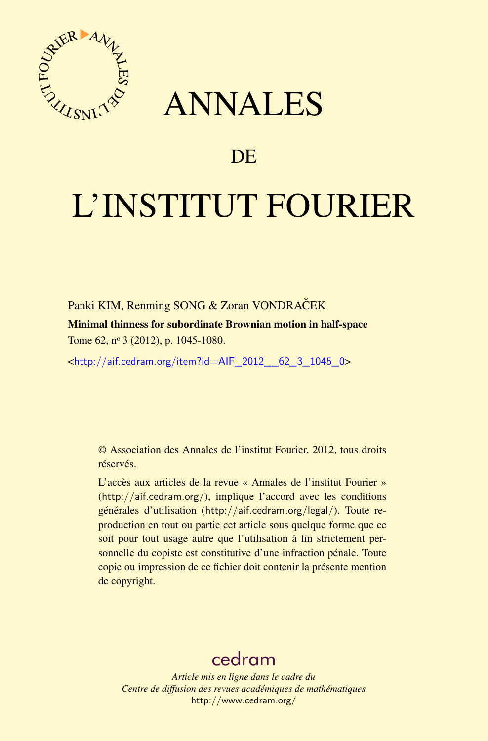

## ANNALES

### **DE**

# L'INSTITUT FOURIER

Panki KIM, Renming SONG & Zoran VONDRAČEK

Minimal thinness for subordinate Brownian motion in half-space Tome 62, nº 3 (2012), p. 1045-1080.

<[http://aif.cedram.org/item?id=AIF\\_2012\\_\\_62\\_3\\_1045\\_0](http://aif.cedram.org/item?id=AIF_2012__62_3_1045_0)>

© Association des Annales de l'institut Fourier, 2012, tous droits réservés.

L'accès aux articles de la revue « Annales de l'institut Fourier » (<http://aif.cedram.org/>), implique l'accord avec les conditions générales d'utilisation (<http://aif.cedram.org/legal/>). Toute reproduction en tout ou partie cet article sous quelque forme que ce soit pour tout usage autre que l'utilisation à fin strictement personnelle du copiste est constitutive d'une infraction pénale. Toute copie ou impression de ce fichier doit contenir la présente mention de copyright.

## [cedram](http://www.cedram.org/)

*Article mis en ligne dans le cadre du Centre de diffusion des revues académiques de mathématiques* <http://www.cedram.org/>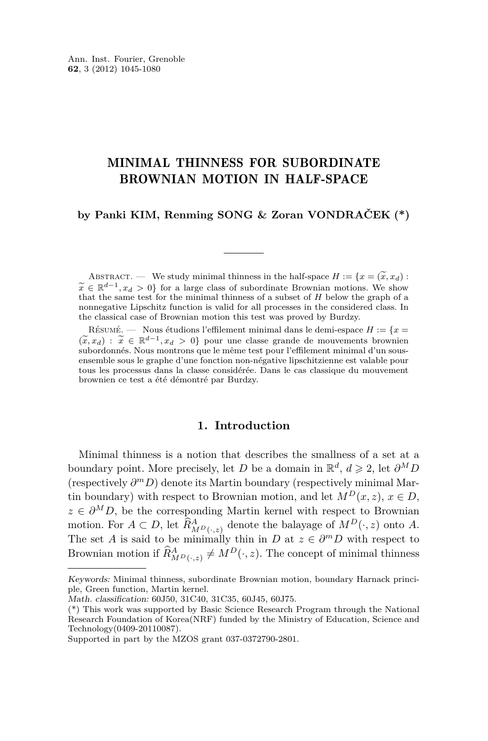#### MINIMAL THINNESS FOR SUBORDINATE BROWNIAN MOTION IN HALF-SPACE

**by Panki KIM, Renming SONG & Zoran VONDRAČEK (\*)**

ABSTRACT. — We study minimal thinness in the half-space  $H := \{x = (\tilde{x}, x_d) :$  $\widetilde{x} \in \mathbb{R}^{d-1}, x_d > 0$  for a large class of subordinate Brownian motions. We show that the same test for the minimal thinness of a subset of *H* below the graph of a that the same test for the minimal thinness of a subset of *H* below the graph of a nonnegative Lipschitz function is valid for all processes in the considered class. In the classical case of Brownian motion this test was proved by Burdzy.

RÉSUMÉ. — Nous étudions l'effilement minimal dans le demi-espace  $H := \{x =$  $(\widetilde{x}, x_d)$  :  $\widetilde{x}$  ∈  $\mathbb{R}^{d-1}, x_d > 0$ } pour une classe grande de mouvements brownien subordonnés. Nous montrons que le même test pour l'effilement minimal d'un sous- $(\widetilde{x}, x_d)$ :  $\widetilde{x} \in \mathbb{R}^{d-1}, x_d > 0$ } pour une classe grande de mouvements brownien ensemble sous le graphe d'une fonction non-négative lipschitzienne est valable pour tous les processus dans la classe considérée. Dans le cas classique du mouvement brownien ce test a été démontré par Burdzy.

#### **1. Introduction**

Minimal thinness is a notion that describes the smallness of a set at a boundary point. More precisely, let *D* be a domain in  $\mathbb{R}^d$ ,  $d \geq 2$ , let  $\partial^M D$ (respectively *∂ <sup>m</sup>D*) denote its Martin boundary (respectively minimal Martin boundary) with respect to Brownian motion, and let  $M^D(x, z)$ ,  $x \in D$ ,  $z \in \partial^M D$ , be the corresponding Martin kernel with respect to Brownian motion. For  $A \subset D$ , let  $\widehat{R}_{MP(\cdot,z)}^A$  denote the balayage of  $M^D(\cdot,z)$  onto *A*. The set *A* is said to be minimally thin in *D* at  $z \in \partial^m D$  with respect to Brownian motion if  $\widehat{R}_{M^D(\cdot, z)}^A \neq M^D(\cdot, z)$ . The concept of minimal thinness

Keywords: Minimal thinness, subordinate Brownian motion, boundary Harnack principle, Green function, Martin kernel.

Math. classification: 60J50, 31C40, 31C35, 60J45, 60J75.

<sup>(\*)</sup> This work was supported by Basic Science Research Program through the National Research Foundation of Korea(NRF) funded by the Ministry of Education, Science and Technology(0409-20110087).

Supported in part by the MZOS grant 037-0372790-2801.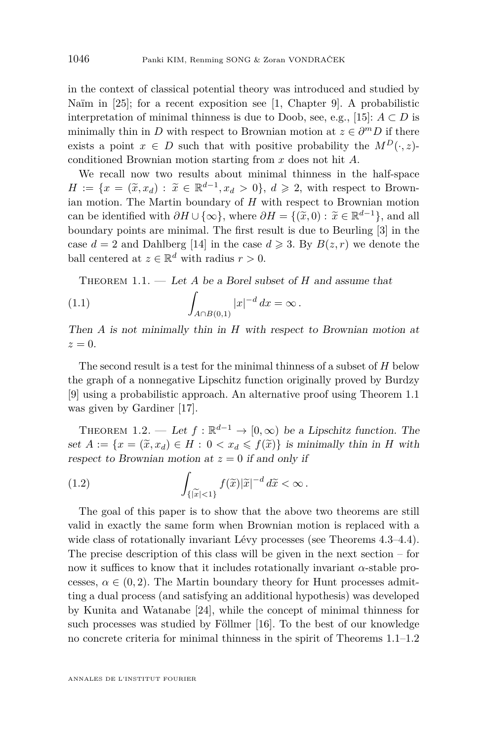<span id="page-2-0"></span>in the context of classical potential theory was introduced and studied by Naïm in [\[25\]](#page-35-0); for a recent exposition see [\[1,](#page-34-0) Chapter 9]. A probabilistic interpretation of minimal thinness is due to Doob, see, e.g., [\[15\]](#page-35-0):  $A \subset D$  is minimally thin in *D* with respect to Brownian motion at  $z \in \partial^m D$  if there exists a point  $x \in D$  such that with positive probability the  $M^D(\cdot, z)$ conditioned Brownian motion starting from *x* does not hit *A*.

We recall now two results about minimal thinness in the half-space  $H := \{x = (\tilde{x}, x_d) : \tilde{x} \in \mathbb{R}^{d-1}, x_d > 0\}, d \geqslant 2$ , with respect to Brown-<br>ion metian. The Martin boundary of *H* with respect to Brownian metian ian motion. The Martin boundary of *H* with respect to Brownian motion can be identified with  $\partial H \cup \{\infty\}$ , where  $\partial H = \{(\tilde{x}, 0) : \tilde{x} \in \mathbb{R}^{d-1}\}$ , and all houndary points are minimal. The first result is due to Bourling [2] in the boundary points are minimal. The first result is due to Beurling [\[3\]](#page-34-0) in the case  $d = 2$  and Dahlberg [\[14\]](#page-35-0) in the case  $d \ge 3$ . By  $B(z, r)$  we denote the ball centered at  $z \in \mathbb{R}^d$  with radius  $r > 0$ .

Theorem 1.1. — Let *A* be a Borel subset of *H* and assume that

(1.1) 
$$
\int_{A \cap B(0,1)} |x|^{-d} dx = \infty.
$$

Then *A* is not minimally thin in *H* with respect to Brownian motion at  $z=0$ .

The second result is a test for the minimal thinness of a subset of *H* below the graph of a nonnegative Lipschitz function originally proved by Burdzy [\[9\]](#page-35-0) using a probabilistic approach. An alternative proof using Theorem 1.1 was given by Gardiner [\[17\]](#page-35-0).

THEOREM 1.2. — Let  $f : \mathbb{R}^{d-1} \to [0, \infty)$  be a Lipschitz function. The set  $A := \{x = (\tilde{x}, x_d) \in H : 0 < x_d \leq f(\tilde{x})\}$  is minimally thin in *H* with respect to Brownian motion at  $z = 0$  if and only if

(1.2) 
$$
\int_{\{\vert \widetilde{x}\vert < 1\}} f(\widetilde{x}) \vert \widetilde{x} \vert^{-d} d\widetilde{x} < \infty.
$$

The goal of this paper is to show that the above two theorems are still valid in exactly the same form when Brownian motion is replaced with a wide class of rotationally invariant Lévy processes (see Theorems [4.3–](#page-32-0)[4.4\)](#page-33-0). The precise description of this class will be given in the next section – for now it suffices to know that it includes rotationally invariant  $\alpha$ -stable processes,  $\alpha \in (0, 2)$ . The Martin boundary theory for Hunt processes admitting a dual process (and satisfying an additional hypothesis) was developed by Kunita and Watanabe [\[24\]](#page-35-0), while the concept of minimal thinness for such processes was studied by Föllmer [\[16\]](#page-35-0). To the best of our knowledge no concrete criteria for minimal thinness in the spirit of Theorems 1.1–1.2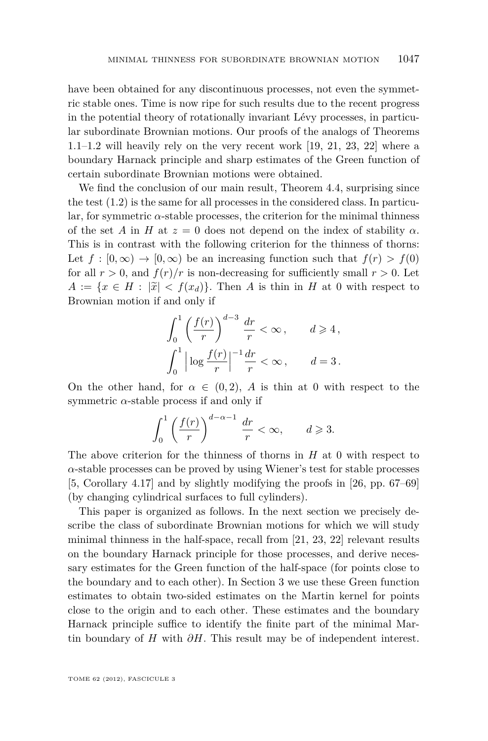have been obtained for any discontinuous processes, not even the symmetric stable ones. Time is now ripe for such results due to the recent progress in the potential theory of rotationally invariant Lévy processes, in particular subordinate Brownian motions. Our proofs of the analogs of Theorems [1.1–1.2](#page-2-0) will heavily rely on the very recent work [\[19,](#page-35-0) [21,](#page-35-0) [23,](#page-35-0) [22\]](#page-35-0) where a boundary Harnack principle and sharp estimates of the Green function of certain subordinate Brownian motions were obtained.

We find the conclusion of our main result, Theorem [4.4,](#page-33-0) surprising since the test [\(1.2\)](#page-2-0) is the same for all processes in the considered class. In particular, for symmetric *α*-stable processes, the criterion for the minimal thinness of the set *A* in *H* at  $z = 0$  does not depend on the index of stability  $\alpha$ . This is in contrast with the following criterion for the thinness of thorns: Let  $f : [0, \infty) \to [0, \infty)$  be an increasing function such that  $f(r) > f(0)$ for all  $r > 0$ , and  $f(r)/r$  is non-decreasing for sufficiently small  $r > 0$ . Let  $A := \{x \in H : |\tilde{x}| < f(x_d)\}\.$  Then *A* is thin in *H* at 0 with respect to Brownian motion if and only if

$$
\int_0^1 \left(\frac{f(r)}{r}\right)^{d-3} \frac{dr}{r} < \infty, \qquad d \ge 4,
$$
  

$$
\int_0^1 \left|\log \frac{f(r)}{r}\right|^{-1} \frac{dr}{r} < \infty, \qquad d = 3.
$$

On the other hand, for  $\alpha \in (0,2)$ , A is thin at 0 with respect to the symmetric  $\alpha$ -stable process if and only if

$$
\int_0^1 \left(\frac{f(r)}{r}\right)^{d-\alpha-1}\,\frac{dr}{r} < \infty, \qquad d \geqslant 3.
$$

The above criterion for the thinness of thorns in *H* at 0 with respect to *α*-stable processes can be proved by using Wiener's test for stable processes [\[5,](#page-34-0) Corollary 4.17] and by slightly modifying the proofs in [\[26,](#page-35-0) pp. 67–69] (by changing cylindrical surfaces to full cylinders).

This paper is organized as follows. In the next section we precisely describe the class of subordinate Brownian motions for which we will study minimal thinness in the half-space, recall from [\[21,](#page-35-0) [23,](#page-35-0) [22\]](#page-35-0) relevant results on the boundary Harnack principle for those processes, and derive necessary estimates for the Green function of the half-space (for points close to the boundary and to each other). In Section 3 we use these Green function estimates to obtain two-sided estimates on the Martin kernel for points close to the origin and to each other. These estimates and the boundary Harnack principle suffice to identify the finite part of the minimal Martin boundary of *H* with *∂H*. This result may be of independent interest.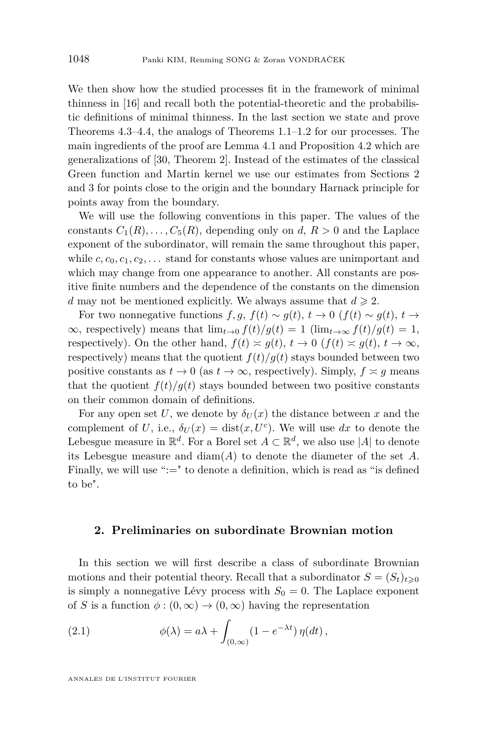<span id="page-4-0"></span>We then show how the studied processes fit in the framework of minimal thinness in [\[16\]](#page-35-0) and recall both the potential-theoretic and the probabilistic definitions of minimal thinness. In the last section we state and prove Theorems [4.3](#page-32-0)[–4.4,](#page-33-0) the analogs of Theorems [1.1–1.2](#page-2-0) for our processes. The main ingredients of the proof are Lemma [4.1](#page-24-0) and Proposition [4.2](#page-28-0) which are generalizations of [\[30,](#page-36-0) Theorem 2]. Instead of the estimates of the classical Green function and Martin kernel we use our estimates from Sections 2 and 3 for points close to the origin and the boundary Harnack principle for points away from the boundary.

We will use the following conventions in this paper. The values of the constants  $C_1(R), \ldots, C_5(R)$ , depending only on *d*,  $R > 0$  and the Laplace exponent of the subordinator, will remain the same throughout this paper, while  $c, c_0, c_1, c_2, \ldots$  stand for constants whose values are unimportant and which may change from one appearance to another. All constants are positive finite numbers and the dependence of the constants on the dimension *d* may not be mentioned explicitly. We always assume that  $d \geq 2$ .

For two nonnegative functions  $f, g, f(t) \sim g(t), t \to 0$  ( $f(t) \sim g(t), t \to$  $\infty$ , respectively) means that  $\lim_{t\to 0} f(t)/g(t) = 1$  ( $\lim_{t\to\infty} f(t)/g(t) = 1$ , respectively). On the other hand,  $f(t) \approx g(t)$ ,  $t \to 0$  ( $f(t) \approx g(t)$ ,  $t \to \infty$ , respectively) means that the quotient  $f(t)/g(t)$  stays bounded between two positive constants as  $t \to 0$  (as  $t \to \infty$ , respectively). Simply,  $f \approx g$  means that the quotient  $f(t)/g(t)$  stays bounded between two positive constants on their common domain of definitions.

For any open set U, we denote by  $\delta_U(x)$  the distance between x and the complement of *U*, i.e.,  $\delta_U(x) = \text{dist}(x, U^c)$ . We will use dx to denote the Lebesgue measure in  $\mathbb{R}^d$ . For a Borel set  $A \subset \mathbb{R}^d$ , we also use |A| to denote its Lebesgue measure and diam(*A*) to denote the diameter of the set *A*. Finally, we will use ":=" to denote a definition, which is read as "is defined" to be".

#### **2. Preliminaries on subordinate Brownian motion**

In this section we will first describe a class of subordinate Brownian motions and their potential theory. Recall that a subordinator  $S = (S_t)_{t \geq 0}$ is simply a nonnegative Lévy process with  $S_0 = 0$ . The Laplace exponent of *S* is a function  $\phi$  :  $(0, \infty) \rightarrow (0, \infty)$  having the representation

(2.1) 
$$
\phi(\lambda) = a\lambda + \int_{(0,\infty)} (1 - e^{-\lambda t}) \eta(dt),
$$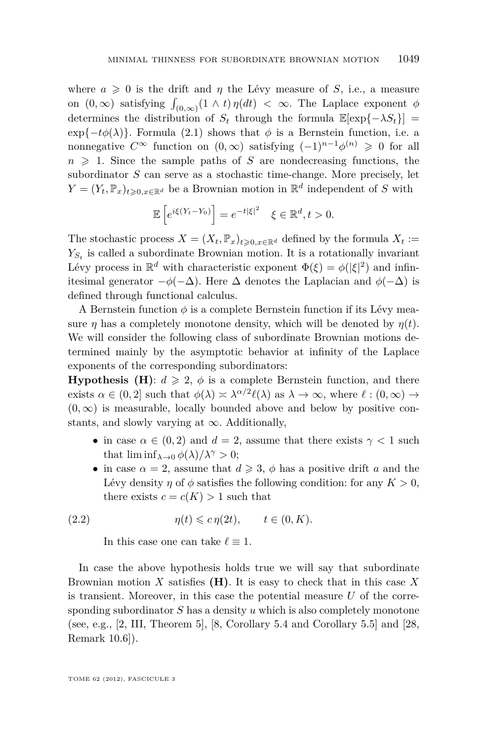<span id="page-5-0"></span>where  $a \geq 0$  is the drift and  $\eta$  the Lévy measure of *S*, i.e., a measure on  $(0, \infty)$  satisfying  $\int_{(0, \infty)} (1 \wedge t) \eta(dt) < \infty$ . The Laplace exponent  $\phi$ determines the distribution of  $S_t$  through the formula  $\mathbb{E}[\exp{\{-\lambda S_t\}}]$  $\exp{-t\phi(\lambda)}$ . Formula [\(2.1\)](#page-4-0) shows that  $\phi$  is a Bernstein function, i.e. a nonnegative  $C^{\infty}$  function on  $(0,\infty)$  satisfying  $(-1)^{n-1}\phi^{(n)} \geq 0$  for all  $n \geq 1$ . Since the sample paths of *S* are nondecreasing functions, the subordinator *S* can serve as a stochastic time-change. More precisely, let  $Y = (Y_t, \mathbb{P}_x)_{t \geq 0, x \in \mathbb{R}^d}$  be a Brownian motion in  $\mathbb{R}^d$  independent of *S* with

$$
\mathbb{E}\left[e^{i\xi(Y_t-Y_0)}\right] = e^{-t|\xi|^2} \quad \xi \in \mathbb{R}^d, t > 0.
$$

The stochastic process  $X = (X_t, \mathbb{P}_x)_{t \geq 0, x \in \mathbb{R}^d}$  defined by the formula  $X_t :=$  $Y_{S_t}$  is called a subordinate Brownian motion. It is a rotationally invariant Lévy process in  $\mathbb{R}^d$  with characteristic exponent  $\Phi(\xi) = \phi(|\xi|^2)$  and infinitesimal generator  $-\phi(-\Delta)$ . Here  $\Delta$  denotes the Laplacian and  $\phi(-\Delta)$  is defined through functional calculus.

A Bernstein function  $\phi$  is a complete Bernstein function if its Lévy measure  $\eta$  has a completely monotone density, which will be denoted by  $\eta(t)$ . We will consider the following class of subordinate Brownian motions determined mainly by the asymptotic behavior at infinity of the Laplace exponents of the corresponding subordinators:

**Hypothesis (H):**  $d \ge 2$ ,  $\phi$  is a complete Bernstein function, and there exists  $\alpha \in (0, 2]$  such that  $\phi(\lambda) \asymp \lambda^{\alpha/2} \ell(\lambda)$  as  $\lambda \to \infty$ , where  $\ell : (0, \infty) \to$  $(0, \infty)$  is measurable, locally bounded above and below by positive constants, and slowly varying at  $\infty$ . Additionally,

- in case  $\alpha \in (0,2)$  and  $d=2$ , assume that there exists  $\gamma < 1$  such that  $\liminf_{\lambda \to 0} \phi(\lambda)/\lambda^{\gamma} > 0$ ;
- in case  $\alpha = 2$ , assume that  $d \geq 3$ ,  $\phi$  has a positive drift *a* and the Lévy density *η* of  $\phi$  satisfies the following condition: for any  $K > 0$ , there exists  $c = c(K) > 1$  such that

(2.2) 
$$
\eta(t) \leqslant c \, \eta(2t), \qquad t \in (0, K).
$$

In this case one can take  $\ell \equiv 1$ .

In case the above hypothesis holds true we will say that subordinate Brownian motion *X* satisfies **(H)**. It is easy to check that in this case *X* is transient. Moreover, in this case the potential measure *U* of the corresponding subordinator *S* has a density *u* which is also completely monotone (see, e.g., [\[2,](#page-34-0) III, Theorem 5], [\[8,](#page-35-0) Corollary 5.4 and Corollary 5.5] and [\[28,](#page-36-0) Remark 10.6]).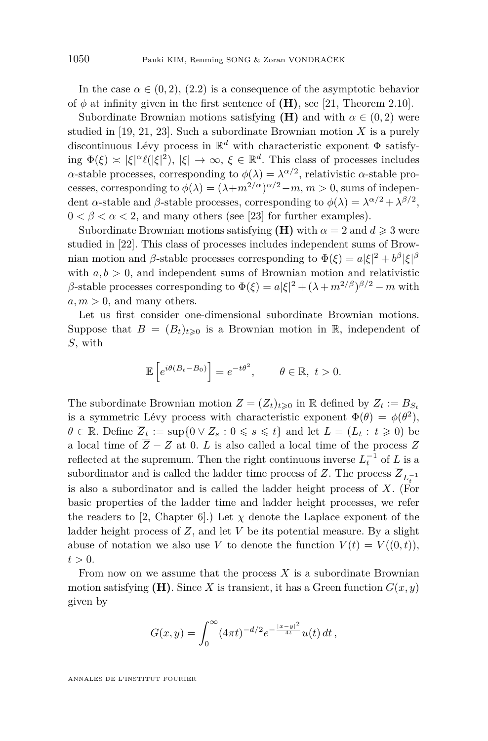In the case  $\alpha \in (0, 2)$ ,  $(2.2)$  is a consequence of the asymptotic behavior of  $\phi$  at infinity given in the first sentence of  $(H)$ , see [\[21,](#page-35-0) Theorem 2.10].

Subordinate Brownian motions satisfying **(H)** and with  $\alpha \in (0, 2)$  were studied in [\[19,](#page-35-0) [21,](#page-35-0) [23\]](#page-35-0). Such a subordinate Brownian motion *X* is a purely discontinuous Lévy process in R *<sup>d</sup>* with characteristic exponent Φ satisfying  $\Phi(\xi) \asymp |\xi|^{\alpha} \ell(|\xi|^2), |\xi| \to \infty, \xi \in \mathbb{R}^d$ . This class of processes includes *α*-stable processes, corresponding to  $\phi(\lambda) = \lambda^{\alpha/2}$ , relativistic *α*-stable processes, corresponding to  $\phi(\lambda) = (\lambda + m^{2/\alpha})^{\alpha/2} - m, m > 0$ , sums of independent *α*-stable and *β*-stable processes, corresponding to  $\phi(\lambda) = \lambda^{\alpha/2} + \lambda^{\beta/2}$ ,  $0 < \beta < \alpha < 2$ , and many others (see [\[23\]](#page-35-0) for further examples).

Subordinate Brownian motions satisfying **(H)** with  $\alpha = 2$  and  $d \ge 3$  were studied in [\[22\]](#page-35-0). This class of processes includes independent sums of Brownian motion and *β*-stable processes corresponding to  $\Phi(\xi) = a|\xi|^2 + b^{\beta}|\xi|^{\beta}$ with  $a, b > 0$ , and independent sums of Brownian motion and relativistic *β*-stable processes corresponding to  $\Phi(\xi) = a|\xi|^2 + (\lambda + m^{2/\beta})^{\beta/2} - m$  with  $a, m > 0$ , and many others.

Let us first consider one-dimensional subordinate Brownian motions. Suppose that  $B = (B_t)_{t \geq 0}$  is a Brownian motion in R, independent of *S*, with

$$
\mathbb{E}\left[e^{i\theta(B_t-B_0)}\right] = e^{-t\theta^2}, \qquad \theta \in \mathbb{R}, \ t > 0.
$$

The subordinate Brownian motion  $Z = (Z_t)_{t \geq 0}$  in R defined by  $Z_t := B_{S_t}$ is a symmetric Lévy process with characteristic exponent  $\Phi(\theta) = \phi(\theta^2)$ ,  $\theta \in \mathbb{R}$ . Define  $\overline{Z}_t := \sup\{0 \vee Z_s : 0 \leq s \leq t\}$  and let  $L = (L_t : t \geq 0)$  be a local time of  $\overline{Z} - Z$  at 0. *L* is also called a local time of the process *Z* reflected at the supremum. Then the right continuous inverse  $L_t^{-1}$  of  $L$  is a subordinator and is called the ladder time process of  $Z$ . The process  $Z_{L_t^{-1}}$ is also a subordinator and is called the ladder height process of *X*. (For basic properties of the ladder time and ladder height processes, we refer the readers to [\[2,](#page-34-0) Chapter 6].) Let  $\chi$  denote the Laplace exponent of the ladder height process of *Z*, and let *V* be its potential measure. By a slight abuse of notation we also use *V* to denote the function  $V(t) = V((0, t)),$  $t > 0$ .

From now on we assume that the process *X* is a subordinate Brownian motion satisfying **(H)**. Since *X* is transient, it has a Green function  $G(x, y)$ given by

$$
G(x,y) = \int_0^\infty (4\pi t)^{-d/2} e^{-\frac{|x-y|^2}{4t}} u(t) dt,
$$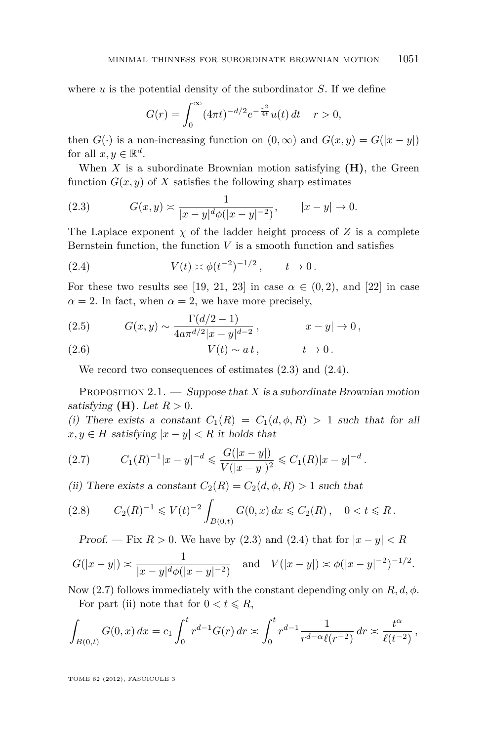<span id="page-7-0"></span>where *u* is the potential density of the subordinator *S*. If we define

$$
G(r) = \int_0^\infty (4\pi t)^{-d/2} e^{-\frac{r^2}{4t}} u(t) dt \quad r > 0,
$$

then  $G(\cdot)$  is a non-increasing function on  $(0, \infty)$  and  $G(x, y) = G(|x - y|)$ for all  $x, y \in \mathbb{R}^d$ .

When  $X$  is a subordinate Brownian motion satisfying  $(H)$ , the Green function  $G(x, y)$  of X satisfies the following sharp estimates

(2.3) 
$$
G(x,y) \asymp \frac{1}{|x-y|^d \phi(|x-y|^{-2})}, \qquad |x-y| \to 0.
$$

The Laplace exponent  $\chi$  of the ladder height process of  $Z$  is a complete Bernstein function, the function  $V$  is a smooth function and satisfies

(2.4) 
$$
V(t) \approx \phi(t^{-2})^{-1/2}, \qquad t \to 0.
$$

For these two results see [\[19,](#page-35-0) [21,](#page-35-0) [23\]](#page-35-0) in case  $\alpha \in (0, 2)$ , and [\[22\]](#page-35-0) in case  $\alpha = 2$ . In fact, when  $\alpha = 2$ , we have more precisely,

(2.5) 
$$
G(x,y) \sim \frac{\Gamma(d/2-1)}{4a\pi^{d/2}|x-y|^{d-2}}, \qquad |x-y| \to 0,
$$

(2.6) 
$$
V(t) \sim a t, \qquad t \to 0.
$$

We record two consequences of estimates (2.3) and (2.4).

PROPOSITION 2.1.  $\longrightarrow$  Suppose that *X* is a subordinate Brownian motion satisfying  $(H)$ . Let  $R > 0$ .

(i) There exists a constant  $C_1(R) = C_1(d, \phi, R) > 1$  such that for all  $x, y \in H$  satisfying  $|x - y| < R$  it holds that

$$
(2.7) \tC_1(R)^{-1}|x-y|^{-d} \leqslant \frac{G(|x-y|)}{V(|x-y|)^2} \leqslant C_1(R)|x-y|^{-d}.
$$

(ii) There exists a constant  $C_2(R) = C_2(d, \phi, R) > 1$  such that

$$
(2.8) \tC_2(R)^{-1} \leqslant V(t)^{-2} \int_{B(0,t)} G(0,x) \, dx \leqslant C_2(R), \quad 0 < t \leqslant R.
$$

*Proof.* — Fix  $R > 0$ . We have by (2.3) and (2.4) that for  $|x - y| < R$ 

$$
G(|x-y|) \approx \frac{1}{|x-y|^d \phi(|x-y|^{-2})}
$$
 and  $V(|x-y|) \approx \phi(|x-y|^{-2})^{-1/2}$ .

Now (2.7) follows immediately with the constant depending only on *R, d, φ*. For part (ii) note that for  $0 < t \le R$ ,

$$
\int_{B(0,t)} G(0,x) dx = c_1 \int_0^t r^{d-1} G(r) dr \asymp \int_0^t r^{d-1} \frac{1}{r^{d-\alpha} \ell(r^{-2})} dr \asymp \frac{t^{\alpha}}{\ell(t^{-2})},
$$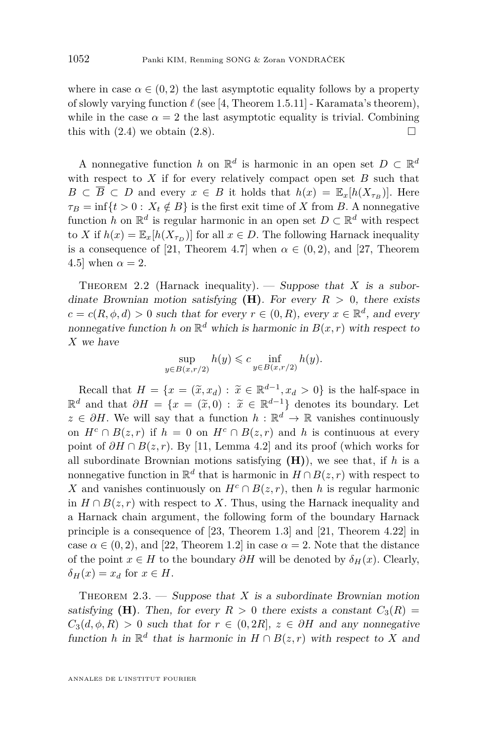<span id="page-8-0"></span>where in case  $\alpha \in (0, 2)$  the last asymptotic equality follows by a property of slowly varying function  $\ell$  (see [\[4,](#page-34-0) Theorem 1.5.11] - Karamata's theorem), while in the case  $\alpha = 2$  the last asymptotic equality is trivial. Combining this with  $(2.4)$  we obtain  $(2.8)$ .

A nonnegative function *h* on  $\mathbb{R}^d$  is harmonic in an open set  $D \subset \mathbb{R}^d$ with respect to  $X$  if for every relatively compact open set  $B$  such that  $B \subset \overline{B} \subset D$  and every  $x \in B$  it holds that  $h(x) = \mathbb{E}_x[h(X_{\tau_B})]$ . Here  $\tau_B = \inf\{t > 0 : X_t \notin B\}$  is the first exit time of *X* from *B*. A nonnegative function *h* on  $\mathbb{R}^d$  is regular harmonic in an open set  $D \subset \mathbb{R}^d$  with respect to *X* if  $h(x) = \mathbb{E}_x[h(X_{\tau_D})]$  for all  $x \in D$ . The following Harnack inequality is a consequence of [\[21,](#page-35-0) Theorem 4.7] when  $\alpha \in (0, 2)$ , and [\[27,](#page-35-0) Theorem 4.5] when  $\alpha = 2$ .

THEOREM 2.2 (Harnack inequality). — Suppose that X is a subordinate Brownian motion satisfying  $(H)$ . For every  $R > 0$ , there exists  $c = c(R, \phi, d) > 0$  such that for every  $r \in (0, R)$ , every  $x \in \mathbb{R}^d$ , and every nonnegative function *h* on  $\mathbb{R}^d$  which is harmonic in  $B(x, r)$  with respect to *X* we have

$$
\sup_{y \in B(x,r/2)} h(y) \leqslant c \inf_{y \in B(x,r/2)} h(y).
$$

Recall that  $H = \{x = (\tilde{x}, x_d) : \tilde{x} \in \mathbb{R}^{d-1}, x_d > 0\}$  is the half-space in  $\mathbb{R}^d$  and that  $\partial H = \{x = (\tilde{x}, 0) : \tilde{x} \in \mathbb{R}^{d-1}\}\$  denotes its boundary. Let  $\tilde{x} \in \partial H$ , We will gave that a function  $h : \mathbb{R}^d \to \mathbb{R}$  reprise a captionally  $z \in \partial H$ . We will say that a function  $h : \mathbb{R}^d \to \mathbb{R}$  vanishes continuously on  $H^c \cap B(z,r)$  if  $h = 0$  on  $H^c \cap B(z,r)$  and *h* is continuous at every point of  $\partial H \cap B(z, r)$ . By [\[11,](#page-35-0) Lemma 4.2] and its proof (which works for all subordinate Brownian motions satisfying  $(H)$ ), we see that, if *h* is a nonnegative function in  $\mathbb{R}^d$  that is harmonic in  $H \cap B(z, r)$  with respect to *X* and vanishes continuously on  $H^c \cap B(z, r)$ , then *h* is regular harmonic in  $H \cap B(z, r)$  with respect to *X*. Thus, using the Harnack inequality and a Harnack chain argument, the following form of the boundary Harnack principle is a consequence of [\[23,](#page-35-0) Theorem 1.3] and [\[21,](#page-35-0) Theorem 4.22] in case  $\alpha \in (0, 2)$ , and [\[22,](#page-35-0) Theorem 1.2] in case  $\alpha = 2$ . Note that the distance of the point  $x \in H$  to the boundary  $\partial H$  will be denoted by  $\delta_H(x)$ . Clearly,  $\delta_H(x) = x_d$  for  $x \in H$ .

THEOREM  $2.3.$  — Suppose that *X* is a subordinate Brownian motion satisfying **(H)**. Then, for every  $R > 0$  there exists a constant  $C_3(R) =$  $C_3(d, \phi, R) > 0$  such that for  $r \in (0, 2R]$ ,  $z \in \partial H$  and any nonnegative function *h* in  $\mathbb{R}^d$  that is harmonic in  $H \cap B(z, r)$  with respect to *X* and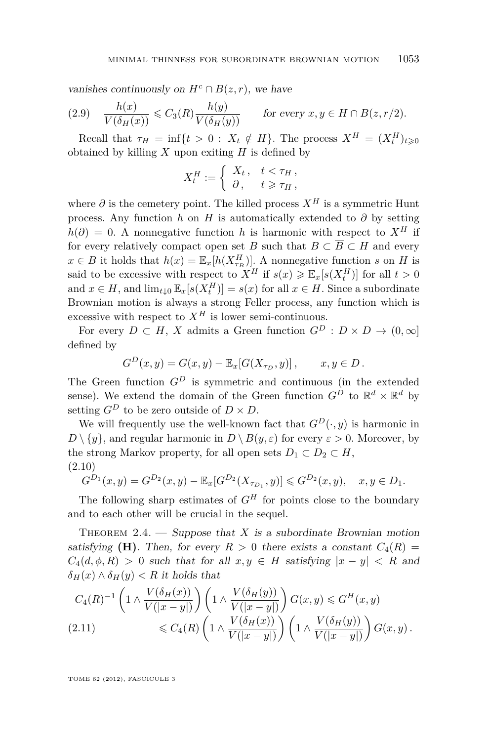<span id="page-9-0"></span>vanishes continuously on  $H^c \cap B(z, r)$ , we have

(2.9) 
$$
\frac{h(x)}{V(\delta_H(x))} \leq C_3(R) \frac{h(y)}{V(\delta_H(y))} \quad \text{for every } x, y \in H \cap B(z, r/2).
$$

Recall that  $\tau_H = \inf\{t > 0 : X_t \notin H\}$ . The process  $X^H = (X_t^H)_{t \geq 0}$ obtained by killing  $X$  upon exiting  $H$  is defined by

$$
X_t^H := \begin{cases} X_t, & t < \tau_H, \\ \partial, & t \geqslant \tau_H, \end{cases}
$$

where  $\partial$  is the cemetery point. The killed process  $X^H$  is a symmetric Hunt process. Any function *h* on *H* is automatically extended to  $\partial$  by setting  $h(\partial) = 0$ . A nonnegative function *h* is harmonic with respect to  $X^H$  if for every relatively compact open set *B* such that  $B \subset \overline{B} \subset H$  and every  $x \in B$  it holds that  $h(x) = \mathbb{E}_x[h(X_{\tau_B}^H)]$ . A nonnegative function *s* on *H* is said to be excessive with respect to  $X^H$  if  $s(x) \geq \mathbb{E}_x[s(X_t^H)]$  for all  $t > 0$ and  $x \in H$ , and  $\lim_{t \downarrow 0} \mathbb{E}_x[s(X_t^H)] = s(x)$  for all  $x \in H$ . Since a subordinate Brownian motion is always a strong Feller process, any function which is excessive with respect to  $X^H$  is lower semi-continuous.

For every  $D \subset H$ , *X* admits a Green function  $G^D : D \times D \to (0, \infty]$ defined by

$$
GD(x, y) = G(x, y) - \mathbb{E}_x[G(X_{\tau_D}, y)], \qquad x, y \in D.
$$

The Green function  $G^D$  is symmetric and continuous (in the extended sense). We extend the domain of the Green function  $G^D$  to  $\mathbb{R}^d \times \mathbb{R}^d$  by setting  $G^D$  to be zero outside of  $D \times D$ .

We will frequently use the well-known fact that  $G^D(\cdot, y)$  is harmonic in *D* \  $\{y\}$ , and regular harmonic in *D* \  $\overline{B(y,\varepsilon)}$  for every  $\varepsilon > 0$ . Moreover, by the strong Markov property, for all open sets  $D_1 \subset D_2 \subset H$ , (2.10)

$$
G^{D_1}(x,y) = G^{D_2}(x,y) - \mathbb{E}_x[G^{D_2}(X_{\tau_{D_1}},y)] \leq G^{D_2}(x,y), \quad x, y \in D_1.
$$

The following sharp estimates of  $G^H$  for points close to the boundary and to each other will be crucial in the sequel.

THEOREM 2.4. — Suppose that  $X$  is a subordinate Brownian motion satisfying **(H)**. Then, for every  $R > 0$  there exists a constant  $C_4(R) =$  $C_4(d, \phi, R) > 0$  such that for all  $x, y \in H$  satisfying  $|x - y| < R$  and  $\delta$ <sup>*H*</sup>(*x*)  $\land$   $\delta$ <sup>*H*</sup>(*y*)  $\lt$  *R* it holds that

$$
C_4(R)^{-1} \left(1 \wedge \frac{V(\delta_H(x))}{V(|x-y|)}\right) \left(1 \wedge \frac{V(\delta_H(y))}{V(|x-y|)}\right) G(x,y) \leq G^H(x,y)
$$
\n
$$
\leq C_4(R) \left(1 \wedge \frac{V(\delta_H(x))}{V(|x-y|)}\right) \left(1 \wedge \frac{V(\delta_H(y))}{V(|x-y|)}\right) G(x,y).
$$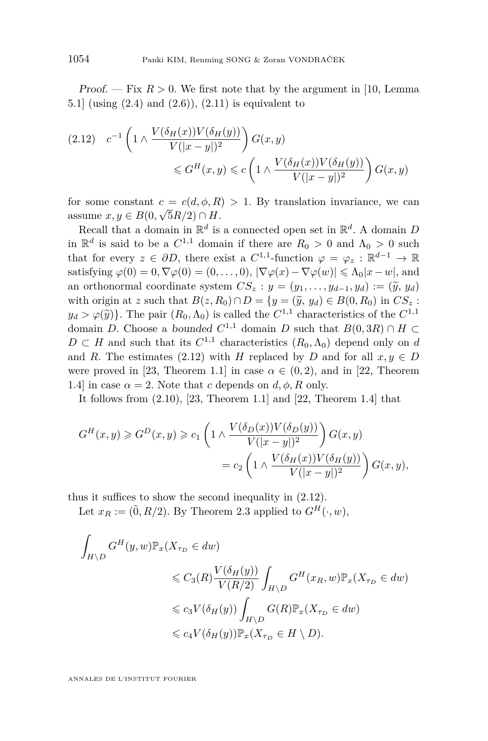<span id="page-10-0"></span>Proof.  $-$  Fix  $R > 0$ . We first note that by the argument in [\[10,](#page-35-0) Lemma 5.1] (using  $(2.4)$  and  $(2.6)$ ),  $(2.11)$  is equivalent to

$$
(2.12) \quad c^{-1} \left( 1 \wedge \frac{V(\delta_H(x)) V(\delta_H(y))}{V(|x-y|)^2} \right) G(x, y)
$$

$$
\leqslant G^H(x, y) \leqslant c \left( 1 \wedge \frac{V(\delta_H(x)) V(\delta_H(y))}{V(|x-y|)^2} \right) G(x, y)
$$

for some constant  $c = c(d, \phi, R) > 1$ . By translation invariance, we can assume  $x, y \in B(0, \sqrt{5R/2}) \cap H$ .

Recall that a domain in  $\mathbb{R}^d$  is a connected open set in  $\mathbb{R}^d$ . A domain *D* in  $\mathbb{R}^d$  is said to be a  $C^{1,1}$  domain if there are  $R_0 > 0$  and  $\Lambda_0 > 0$  such that for every  $z \in \partial D$ , there exist a  $C^{1,1}$ -function  $\varphi = \varphi_z : \mathbb{R}^{d-1} \to \mathbb{R}$ satisfying  $\varphi(0) = 0, \nabla \varphi(0) = (0, \ldots, 0), |\nabla \varphi(x) - \nabla \varphi(w)| \leq \Lambda_0 |x - w|$ , and an orthonormal coordinate system  $CS_z : y = (y_1, \ldots, y_{d-1}, y_d) := (\tilde{y}, y_d)$ with origin at *z* such that  $B(z, R_0) \cap D = \{y = (\tilde{y}, y_d) \in B(0, R_0) \text{ in } CS_z$ :  $y_d > \varphi(\tilde{y})$ . The pair  $(R_0, \Lambda_0)$  is called the  $C^{1,1}$  characteristics of the  $C^{1,1}$ domain *D*. Choose a bounded  $C^{1,1}$  domain *D* such that  $B(0,3R) \cap H \subset$  $D \subset H$  and such that its  $C^{1,1}$  characteristics  $(R_0, \Lambda_0)$  depend only on *d* and *R*. The estimates (2.12) with *H* replaced by *D* and for all  $x, y \in D$ were proved in [\[23,](#page-35-0) Theorem 1.1] in case  $\alpha \in (0, 2)$ , and in [\[22,](#page-35-0) Theorem 1.4] in case  $\alpha = 2$ . Note that *c* depends on  $d, \phi, R$  only.

It follows from  $(2.10)$ ,  $[23,$  Theorem 1.1] and  $[22,$  Theorem 1.4] that

$$
G^{H}(x,y) \geq G^{D}(x,y) \geq c_{1} \left( 1 \wedge \frac{V(\delta_{D}(x))V(\delta_{D}(y))}{V(|x-y|)^{2}} \right) G(x,y)
$$
  
= 
$$
c_{2} \left( 1 \wedge \frac{V(\delta_{H}(x))V(\delta_{H}(y))}{V(|x-y|)^{2}} \right) G(x,y),
$$

thus it suffices to show the second inequality in (2.12).

Let  $x_R := (\tilde{0}, R/2)$ . By Theorem [2.3](#page-8-0) applied to  $G^H(\cdot, w)$ ,

$$
\int_{H \backslash D} G^{H}(y, w) \mathbb{P}_{x}(X_{\tau_{D}} \in dw)
$$
\n
$$
\leq C_{3}(R) \frac{V(\delta_{H}(y))}{V(R/2)} \int_{H \backslash D} G^{H}(x_{R}, w) \mathbb{P}_{x}(X_{\tau_{D}} \in dw)
$$
\n
$$
\leq c_{3} V(\delta_{H}(y)) \int_{H \backslash D} G(R) \mathbb{P}_{x}(X_{\tau_{D}} \in dw)
$$
\n
$$
\leq c_{4} V(\delta_{H}(y)) \mathbb{P}_{x}(X_{\tau_{D}} \in H \backslash D).
$$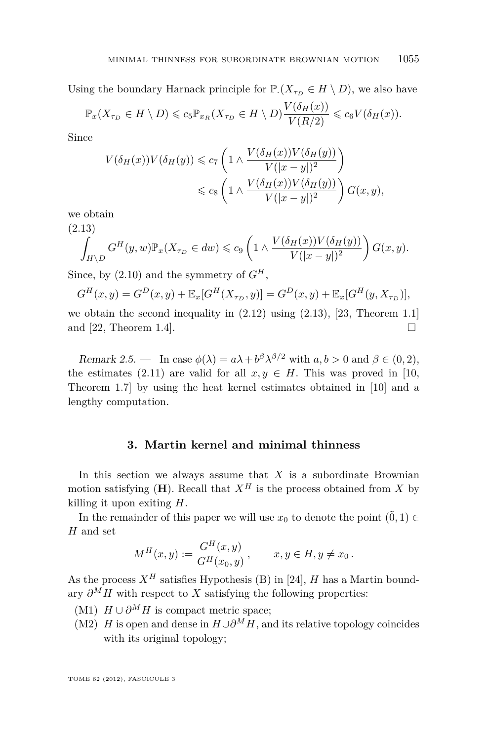Using the boundary Harnack principle for  $\mathbb{P}\left(X_{\tau_D} \in H \setminus D\right)$ , we also have

$$
\mathbb{P}_x(X_{\tau_D} \in H \setminus D) \leqslant c_5 \mathbb{P}_{x_R}(X_{\tau_D} \in H \setminus D) \frac{V(\delta_H(x))}{V(R/2)} \leqslant c_6 V(\delta_H(x)).
$$

Since

$$
V(\delta_H(x))V(\delta_H(y)) \le c_7 \left(1 \wedge \frac{V(\delta_H(x))V(\delta_H(y))}{V(|x-y|)^2}\right)
$$
  

$$
\le c_8 \left(1 \wedge \frac{V(\delta_H(x))V(\delta_H(y))}{V(|x-y|)^2}\right)G(x,y),
$$

we obtain

(2.13)  

$$
\int_{H \backslash D} G^H(y, w) \mathbb{P}_x(X_{\tau_D} \in dw) \leq c_9 \left(1 \wedge \frac{V(\delta_H(x)) V(\delta_H(y))}{V(|x - y|)^2}\right) G(x, y).
$$

Since, by  $(2.10)$  and the symmetry of  $G^H$ ,

$$
G^{H}(x,y) = G^{D}(x,y) + \mathbb{E}_{x}[G^{H}(X_{\tau_{D}},y)] = G^{D}(x,y) + \mathbb{E}_{x}[G^{H}(y,X_{\tau_{D}})],
$$

we obtain the second inequality in [\(2.12\)](#page-10-0) using (2.13), [\[23,](#page-35-0) Theorem 1.1] and [\[22,](#page-35-0) Theorem 1.4].

Remark 2.5. — In case  $\phi(\lambda) = a\lambda + b^{\beta} \lambda^{\beta/2}$  with  $a, b > 0$  and  $\beta \in (0, 2)$ , the estimates [\(2.11\)](#page-9-0) are valid for all  $x, y \in H$ . This was proved in [\[10,](#page-35-0) Theorem 1.7] by using the heat kernel estimates obtained in [\[10\]](#page-35-0) and a lengthy computation.

#### **3. Martin kernel and minimal thinness**

In this section we always assume that  $X$  is a subordinate Brownian motion satisfying  $(H)$ . Recall that  $X^H$  is the process obtained from X by killing it upon exiting *H*.

In the remainder of this paper we will use  $x_0$  to denote the point  $(\tilde{0}, 1) \in$ *H* and set

$$
M^H(x, y) := \frac{G^H(x, y)}{G^H(x_0, y)}, \qquad x, y \in H, y \neq x_0.
$$

As the process  $X^H$  satisfies Hypothesis (B) in [\[24\]](#page-35-0), *H* has a Martin boundary  $\partial^M H$  with respect to *X* satisfying the following properties:

- (M1)  $H \cup \partial^M H$  is compact metric space;
- (M2) *H* is open and dense in  $H \cup \partial^M H$ , and its relative topology coincides with its original topology;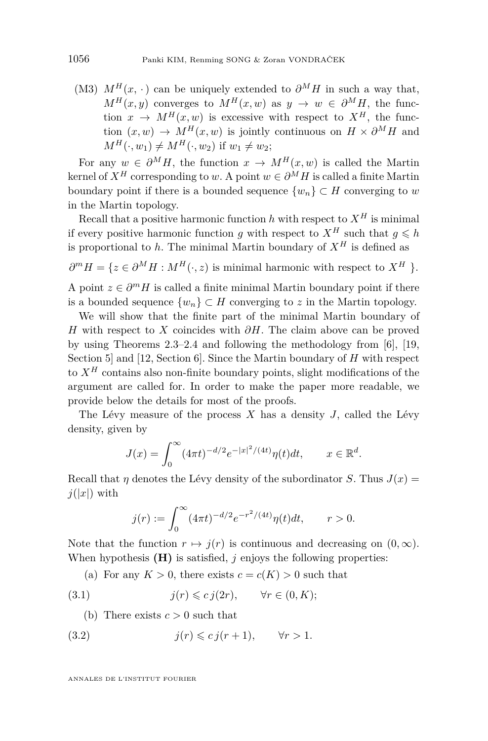<span id="page-12-0"></span>(M3)  $M^H(x, \cdot)$  can be uniquely extended to  $\partial^M H$  in such a way that,  $M^H(x, y)$  converges to  $M^H(x, w)$  as  $y \to w \in \partial^M H$ , the function  $x \to M^H(x, w)$  is excessive with respect to  $X^H$ , the function  $(x, w) \rightarrow M^H(x, w)$  is jointly continuous on  $H \times \partial^M H$  and  $M^H(\cdot, w_1) \neq M^H(\cdot, w_2)$  if  $w_1 \neq w_2$ ;

For any  $w \in \partial^M H$ , the function  $x \to M^H(x, w)$  is called the Martin kernel of  $X^H$  corresponding to *w*. A point  $w \in \partial^M H$  is called a finite Martin boundary point if there is a bounded sequence  $\{w_n\} \subset H$  converging to *w* in the Martin topology.

Recall that a positive harmonic function  $h$  with respect to  $X^H$  is minimal if every positive harmonic function *g* with respect to  $X^H$  such that  $q \leq h$ is proportional to *h*. The minimal Martin boundary of  $X^H$  is defined as

 $\partial^m H = \{z \in \partial^M H : M^H(\cdot, z) \text{ is minimal harmonic with respect to } X^H \}.$ 

A point  $z \in \partial^m H$  is called a finite minimal Martin boundary point if there is a bounded sequence  $\{w_n\} \subset H$  converging to *z* in the Martin topology.

We will show that the finite part of the minimal Martin boundary of *H* with respect to *X* coincides with *∂H*. The claim above can be proved by using Theorems [2.3–](#page-8-0)[2.4](#page-9-0) and following the methodology from [\[6\]](#page-35-0), [\[19,](#page-35-0) Section 5] and [\[12,](#page-35-0) Section 6]. Since the Martin boundary of *H* with respect to  $X^H$  contains also non-finite boundary points, slight modifications of the argument are called for. In order to make the paper more readable, we provide below the details for most of the proofs.

The Lévy measure of the process *X* has a density *J*, called the Lévy density, given by

$$
J(x) = \int_0^\infty (4\pi t)^{-d/2} e^{-|x|^2/(4t)} \eta(t) dt, \qquad x \in \mathbb{R}^d.
$$

Recall that *η* denotes the Lévy density of the subordinator *S*. Thus  $J(x) =$  $j(|x|)$  with

$$
j(r) := \int_0^\infty (4\pi t)^{-d/2} e^{-r^2/(4t)} \eta(t) dt, \qquad r > 0.
$$

Note that the function  $r \mapsto j(r)$  is continuous and decreasing on  $(0, \infty)$ . When hypothesis **(H)** is satisfied, *j* enjoys the following properties:

(a) For any  $K > 0$ , there exists  $c = c(K) > 0$  such that

(3.1) 
$$
j(r) \leqslant c \, j(2r), \qquad \forall r \in (0, K);
$$

(b) There exists  $c > 0$  such that

$$
(3.2) \t j(r) \leq c j(r+1), \t \forall r > 1.
$$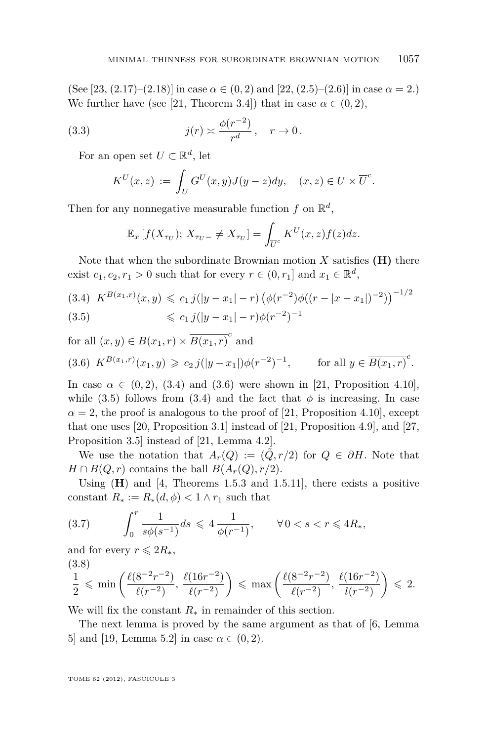<span id="page-13-0"></span>(See [\[23,](#page-35-0) (2.17)–(2.18)] in case  $\alpha \in (0, 2)$  and [\[22,](#page-35-0) (2.5)–(2.6)] in case  $\alpha = 2$ .) We further have (see [\[21,](#page-35-0) Theorem 3.4]) that in case  $\alpha \in (0, 2)$ ,

(3.3) 
$$
j(r) \approx \frac{\phi(r^{-2})}{r^d}, \quad r \to 0.
$$

For an open set  $U \subset \mathbb{R}^d$ , let

$$
K^U(x,z) := \int_U G^U(x,y)J(y-z)dy, \quad (x,z) \in U \times \overline{U}^c.
$$

Then for any nonnegative measurable function  $f$  on  $\mathbb{R}^d$ ,

$$
\mathbb{E}_x\left[f(X_{\tau_U});\,X_{\tau_U-}\neq X_{\tau_U}\right]=\int_{\overline{U}^c}K^U(x,z)f(z)dz.
$$

Note that when the subordinate Brownian motion  $X$  satisfies  $(H)$  there exist  $c_1, c_2, r_1 > 0$  such that for every  $r \in (0, r_1]$  and  $x_1 \in \mathbb{R}^d$ ,

$$
(3.4) K^{B(x_1,r)}(x,y) \leq c_1 j(|y-x_1|-r) \left(\phi(r^{-2})\phi((r-|x-x_1|)^{-2})\right)^{-1/2}
$$
\n
$$
\leq c_1 j(|y-x_1|-r)\phi(r^{-2})^{-1}
$$

(3.5) 
$$
\leq c_1 j(|y-x_1|-r)\phi(r^{-2})
$$

for all  $(x, y) \in B(x_1, r) \times \overline{B(x_1, r)}^c$  and

$$
(3.6) \ K^{B(x_1,r)}(x_1,y) \geqslant c_2 \, j(|y-x_1|) \phi(r^{-2})^{-1}, \qquad \text{for all } y \in \overline{B(x_1,r)}^c.
$$

In case  $\alpha \in (0, 2)$ , (3.4) and (3.6) were shown in [\[21,](#page-35-0) Proposition 4.10], while (3.5) follows from (3.4) and the fact that  $\phi$  is increasing. In case  $\alpha = 2$ , the proof is analogous to the proof of [\[21,](#page-35-0) Proposition 4.10], except that one uses [\[20,](#page-35-0) Proposition 3.1] instead of [\[21,](#page-35-0) Proposition 4.9], and [\[27,](#page-35-0) Proposition 3.5] instead of [\[21,](#page-35-0) Lemma 4.2].

We use the notation that  $A_r(Q) := (Q, r/2)$  for  $Q \in \partial H$ . Note that *H* ∩ *B*(*Q, r*) contains the ball *B*( $A$ <sup>*r*</sup>(*Q*)*, r*/2).

Using (**H**) and [\[4,](#page-34-0) Theorems 1.5.3 and 1.5.11], there exists a positive constant  $R_* := R_*(d, \phi) < 1 \wedge r_1$  such that

$$
(3.7) \qquad \int_0^r \frac{1}{s\phi(s^{-1})} ds \leq 4 \frac{1}{\phi(r^{-1})}, \qquad \forall \, 0 < s < r \leq 4R_*,
$$

and for every  $r \leqslant 2R_*$ , (3.8)

$$
\frac{1}{2} \leqslant \min\left(\frac{\ell(8^{-2}r^{-2})}{\ell(r^{-2})}, \frac{\ell(16r^{-2})}{\ell(r^{-2})}\right) \leqslant \max\left(\frac{\ell(8^{-2}r^{-2})}{\ell(r^{-2})}, \frac{\ell(16r^{-2})}{\ell(r^{-2})}\right) \leqslant 2.
$$

We will fix the constant *R*<sup>∗</sup> in remainder of this section.

The next lemma is proved by the same argument as that of [\[6,](#page-35-0) Lemma 5] and [\[19,](#page-35-0) Lemma 5.2] in case  $\alpha \in (0, 2)$ .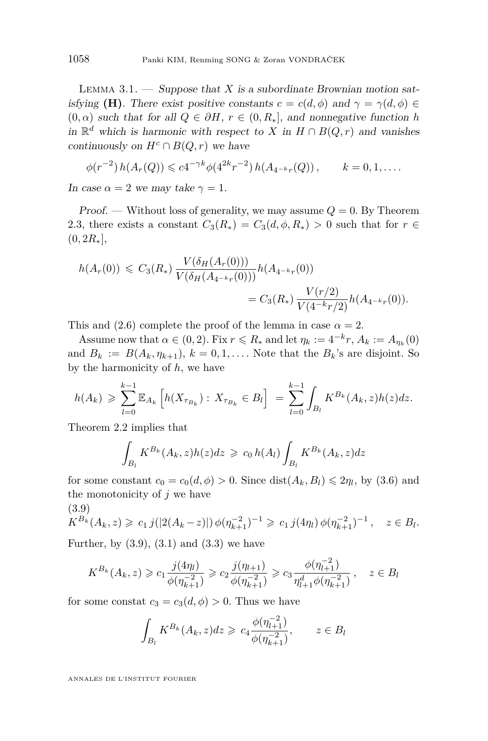<span id="page-14-0"></span>LEMMA  $3.1.$  — Suppose that *X* is a subordinate Brownian motion satisfying **(H)**. There exist positive constants  $c = c(d, \phi)$  and  $\gamma = \gamma(d, \phi) \in$  $(0, \alpha)$  such that for all  $Q \in \partial H$ ,  $r \in (0, R_*]$ , and nonnegative function *h* in  $\mathbb{R}^d$  which is harmonic with respect to *X* in *H* ∩ *B*(*Q, r*) and vanishes continuously on  $H^c \cap B(Q, r)$  we have

$$
\phi(r^{-2}) h(A_r(Q)) \leqslant c4^{-\gamma k} \phi(4^{2k}r^{-2}) h(A_{4^{-k}r}(Q)), \qquad k = 0, 1, \ldots.
$$

In case  $\alpha = 2$  we may take  $\gamma = 1$ .

Proof. — Without loss of generality, we may assume  $Q = 0$ . By Theorem [2.3,](#page-8-0) there exists a constant  $C_3(R_*) = C_3(d, \phi, R_*) > 0$  such that for  $r \in$  $(0, 2R_*],$ 

$$
h(A_r(0)) \leq C_3(R_*) \frac{V(\delta_H(A_r(0)))}{V(\delta_H(A_{4^{-k}r}(0)))} h(A_{4^{-k}r}(0))
$$
  
=  $C_3(R_*) \frac{V(r/2)}{V(4^{-k}r/2)} h(A_{4^{-k}r}(0)).$ 

This and  $(2.6)$  complete the proof of the lemma in case  $\alpha = 2$ .

Assume now that  $\alpha \in (0, 2)$ . Fix  $r \le R_*$  and let  $\eta_k := 4^{-k}r$ ,  $A_k := A_{\eta_k}(0)$ and  $B_k := B(A_k, \eta_{k+1}), k = 0, 1, \ldots$  Note that the  $B_k$ 's are disjoint. So by the harmonicity of *h*, we have

$$
h(A_k) \geqslant \sum_{l=0}^{k-1} \mathbb{E}_{A_k} \left[ h(X_{\tau_{B_k}}) : X_{\tau_{B_k}} \in B_l \right] = \sum_{l=0}^{k-1} \int_{B_l} K^{B_k}(A_k, z) h(z) dz.
$$

Theorem [2.2](#page-8-0) implies that

$$
\int_{B_l} K^{B_k}(A_k, z)h(z)dz \geq c_0 h(A_l) \int_{B_l} K^{B_k}(A_k, z)dz
$$

for some constant  $c_0 = c_0(d, \phi) > 0$ . Since  $dist(A_k, B_l) \leq 2\eta_l$ , by [\(3.6\)](#page-13-0) and the monotonicity of *j* we have

$$
(3.9)
$$

$$
K^{B_k}(A_k, z) \geq c_1 j(|2(A_k - z)|) \phi(\eta_{k+1}^{-2})^{-1} \geq c_1 j(4\eta_l) \phi(\eta_{k+1}^{-2})^{-1}, \quad z \in B_l.
$$

Further, by  $(3.9)$ ,  $(3.1)$  and  $(3.3)$  we have

$$
K^{B_k}(A_k, z) \geqslant c_1 \frac{j(4\eta_l)}{\phi(\eta_{k+1}^{-2})} \geqslant c_2 \frac{j(\eta_{l+1})}{\phi(\eta_{k+1}^{-2})} \geqslant c_3 \frac{\phi(\eta_{l+1}^{-2})}{\eta_{l+1}^d \phi(\eta_{k+1}^{-2})}, \quad z \in B_l
$$

for some constat  $c_3 = c_3(d, \phi) > 0$ . Thus we have

$$
\int_{B_l} K^{B_k}(A_k, z) dz \geq c_4 \frac{\phi(\eta_{l+1}^{-2})}{\phi(\eta_{k+1}^{-2})}, \qquad z \in B_l
$$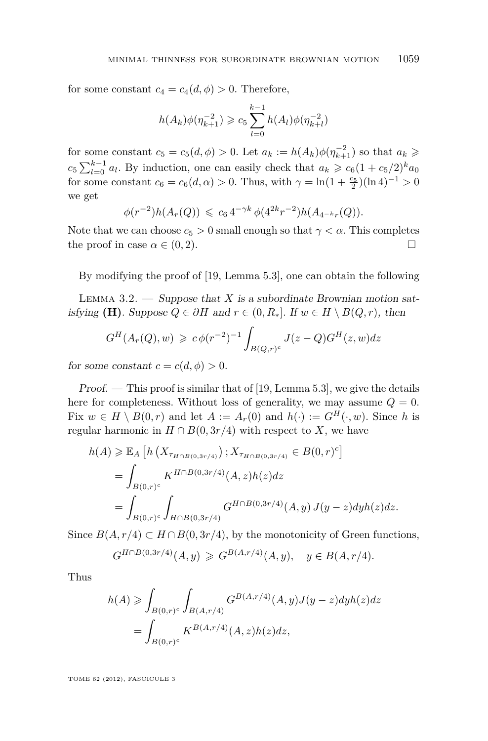<span id="page-15-0"></span>for some constant  $c_4 = c_4(d, \phi) > 0$ . Therefore,

$$
h(A_k)\phi(\eta_{k+1}^{-2}) \geqslant c_5 \sum_{l=0}^{k-1} h(A_l)\phi(\eta_{k+l}^{-2})
$$

for some constant  $c_5 = c_5(d, \phi) > 0$ . Let  $a_k := h(A_k)\phi(\eta_{k+1}^{-2})$  so that  $a_k \geq$  $c_5 \sum_{l=0}^{k-1} a_l$ . By induction, one can easily check that  $a_k \geq c_6 (1 + c_5/2)^k a_0$ for some constant  $c_6 = c_6(d, \alpha) > 0$ . Thus, with  $\gamma = \ln(1 + \frac{c_5}{2})(\ln 4)^{-1} > 0$ we get

$$
\phi(r^{-2})h(A_r(Q)) \leq c_6 4^{-\gamma k} \phi(4^{2k}r^{-2})h(A_{4^{-k}r}(Q)).
$$

Note that we can choose  $c_5 > 0$  small enough so that  $\gamma < \alpha$ . This completes the proof in case  $\alpha \in (0, 2)$ .

By modifying the proof of [\[19,](#page-35-0) Lemma 5.3], one can obtain the following

LEMMA  $3.2.$  — Suppose that *X* is a subordinate Brownian motion satisfying **(H)**. Suppose  $Q \in \partial H$  and  $r \in (0, R_*]$ . If  $w \in H \setminus B(Q, r)$ , then

$$
G^{H}(A_r(Q), w) \geq c \phi(r^{-2})^{-1} \int_{B(Q,r)^c} J(z-Q)G^{H}(z,w)dz
$$

for some constant  $c = c(d, \phi) > 0$ .

 $Proof.$  — This proof is similar that of [\[19,](#page-35-0) Lemma 5.3], we give the details here for completeness. Without loss of generality, we may assume  $Q = 0$ . Fix  $w \in H \setminus B(0,r)$  and let  $A := A_r(0)$  and  $h(\cdot) := G^H(\cdot, w)$ . Since h is regular harmonic in  $H \cap B(0, 3r/4)$  with respect to *X*, we have

$$
h(A) \geq \mathbb{E}_A \left[ h\left(X_{\tau_{H \cap B(0,3r/4)}}\right); X_{\tau_{H \cap B(0,3r/4)}} \in B(0,r)^c \right]
$$
  
= 
$$
\int_{B(0,r)^c} K^{H \cap B(0,3r/4)}(A,z)h(z)dz
$$
  
= 
$$
\int_{B(0,r)^c} \int_{H \cap B(0,3r/4)} G^{H \cap B(0,3r/4)}(A,y) J(y-z)dyh(z)dz.
$$

Since  $B(A, r/4) \subset H \cap B(0, 3r/4)$ , by the monotonicity of Green functions,

$$
G^{H \cap B(0,3r/4)}(A,y) \geq G^{B(A,r/4)}(A,y), \quad y \in B(A,r/4).
$$

Thus

$$
h(A) \ge \int_{B(0,r)^c} \int_{B(A,r/4)} G^{B(A,r/4)}(A,y) J(y-z) dy h(z) dz
$$
  
= 
$$
\int_{B(0,r)^c} K^{B(A,r/4)}(A,z) h(z) dz,
$$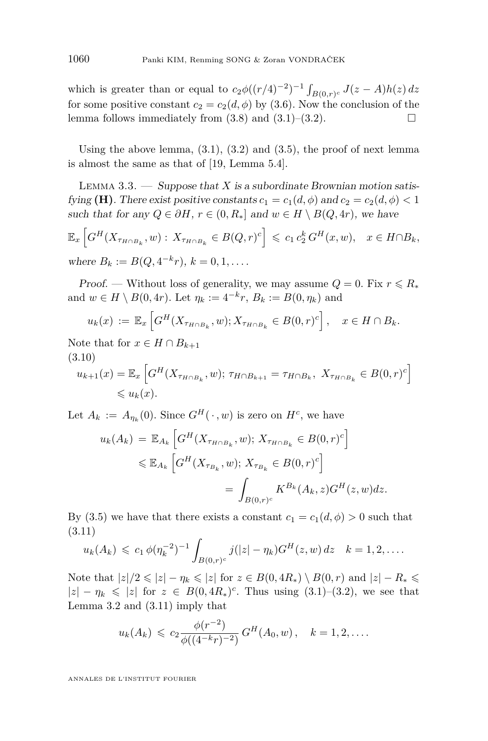<span id="page-16-0"></span>which is greater than or equal to  $c_2\phi((r/4)^{-2})^{-1}\int_{B(0,r)^c} J(z-A)h(z) dz$ for some positive constant  $c_2 = c_2(d, \phi)$  by [\(3.6\)](#page-13-0). Now the conclusion of the lemma follows immediately from  $(3.8)$  and  $(3.1)$ – $(3.2)$ .

Using the above lemma,  $(3.1)$ ,  $(3.2)$  and  $(3.5)$ , the proof of next lemma is almost the same as that of [\[19,](#page-35-0) Lemma 5.4].

LEMMA 3.3.  $\longrightarrow$  Suppose that *X* is a subordinate Brownian motion satisfying **(H)**. There exist positive constants  $c_1 = c_1(d, \phi)$  and  $c_2 = c_2(d, \phi) < 1$ such that for any  $Q \in \partial H$ ,  $r \in (0, R_*]$  and  $w \in H \setminus B(Q, 4r)$ , we have

$$
\mathbb{E}_x\left[G^H(X_{\tau_{H\cap B_k}}, w) : X_{\tau_{H\cap B_k}} \in B(Q, r)^c\right] \leq c_1 c_2^k G^H(x, w), \quad x \in H\cap B_k,
$$
  
where  $B_k := B(Q, 4^{-k}r), k = 0, 1, ...$ 

*Proof.* — Without loss of generality, we may assume  $Q = 0$ . Fix  $r \le R_*$ and  $w \in H \setminus B(0, 4r)$ . Let  $\eta_k := 4^{-k}r$ ,  $B_k := B(0, \eta_k)$  and

$$
u_k(x) := \mathbb{E}_x \left[ G^H(X_{\tau_{H \cap B_k}}, w); X_{\tau_{H \cap B_k}} \in B(0, r)^c \right], \quad x \in H \cap B_k.
$$

Note that for  $x \in H \cap B_{k+1}$ (3.10)

$$
u_{k+1}(x) = \mathbb{E}_x \left[ G^H(X_{\tau_{H \cap B_k}}, w); \, \tau_{H \cap B_{k+1}} = \tau_{H \cap B_k}, \, X_{\tau_{H \cap B_k}} \in B(0, r)^c \right]
$$
  
\$\leq u\_k(x).

Let  $A_k := A_{\eta_k}(0)$ . Since  $G^H(\cdot, w)$  is zero on  $H^c$ , we have

$$
u_k(A_k) = \mathbb{E}_{A_k} \left[ G^H(X_{\tau_{H \cap B_k}}, w); X_{\tau_{H \cap B_k}} \in B(0, r)^c \right]
$$
  

$$
\leq \mathbb{E}_{A_k} \left[ G^H(X_{\tau_{B_k}}, w); X_{\tau_{B_k}} \in B(0, r)^c \right]
$$
  

$$
= \int_{B(0, r)^c} K^{B_k}(A_k, z) G^H(z, w) dz.
$$

By [\(3.5\)](#page-13-0) we have that there exists a constant  $c_1 = c_1(d, \phi) > 0$  such that (3.11)

$$
u_k(A_k) \leqslant c_1 \phi(\eta_k^{-2})^{-1} \int_{B(0,r)^c} j(|z| - \eta_k) G^H(z, w) dz \quad k = 1, 2, \dots
$$

Note that  $|z|/2 \le |z| - \eta_k \le |z|$  for  $z \in B(0, 4R_*) \setminus B(0, r)$  and  $|z| - R_* \le$  $|z| - \eta_k \leq |z|$  for  $z \in B(0, 4R_*)^c$ . Thus using  $(3.1)$ – $(3.2)$ , we see that Lemma [3.2](#page-15-0) and (3.11) imply that

$$
u_k(A_k) \leqslant c_2 \frac{\phi(r^{-2})}{\phi((4^{-k}r)^{-2})} G^H(A_0, w), \quad k = 1, 2, \dots
$$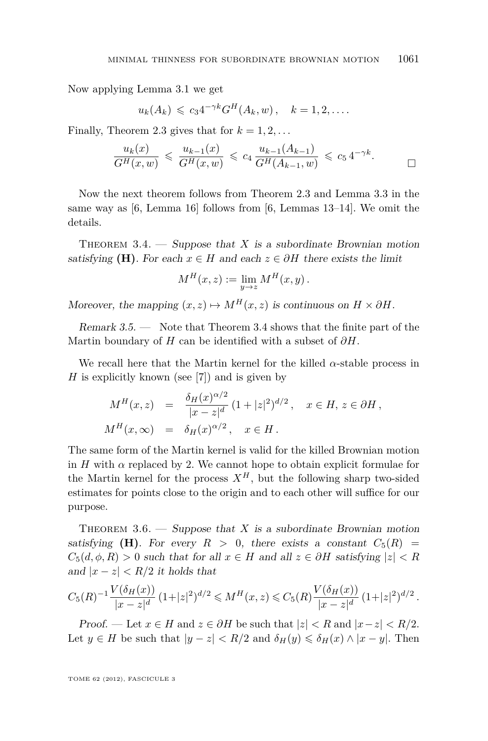<span id="page-17-0"></span>Now applying Lemma [3.1](#page-14-0) we get

$$
u_k(A_k) \leqslant c_3 4^{-\gamma k} G^H(A_k, w), \quad k = 1, 2, \dots
$$

Finally, Theorem [2.3](#page-8-0) gives that for  $k = 1, 2, \ldots$ 

$$
\frac{u_k(x)}{G^H(x, w)} \leq \frac{u_{k-1}(x)}{G^H(x, w)} \leq c_4 \frac{u_{k-1}(A_{k-1})}{G^H(A_{k-1}, w)} \leq c_5 4^{-\gamma k}.
$$

Now the next theorem follows from Theorem [2.3](#page-8-0) and Lemma [3.3](#page-16-0) in the same way as [\[6,](#page-35-0) Lemma 16] follows from [\[6,](#page-35-0) Lemmas 13–14]. We omit the details.

THEOREM  $3.4.$  — Suppose that *X* is a subordinate Brownian motion satisfying **(H)**. For each  $x \in H$  and each  $z \in \partial H$  there exists the limit

$$
M^H(x, z) := \lim_{y \to z} M^H(x, y) .
$$

Moreover, the mapping  $(x, z) \mapsto M^H(x, z)$  is continuous on  $H \times \partial H$ .

Remark 3.5. — Note that Theorem 3.4 shows that the finite part of the Martin boundary of *H* can be identified with a subset of *∂H*.

We recall here that the Martin kernel for the killed  $\alpha$ -stable process in *H* is explicitly known (see [\[7\]](#page-35-0)) and is given by

$$
M^H(x, z) = \frac{\delta_H(x)^{\alpha/2}}{|x - z|^d} (1 + |z|^2)^{d/2}, \quad x \in H, z \in \partial H,
$$
  

$$
M^H(x, \infty) = \delta_H(x)^{\alpha/2}, \quad x \in H.
$$

The same form of the Martin kernel is valid for the killed Brownian motion in  $H$  with  $\alpha$  replaced by 2. We cannot hope to obtain explicit formulae for the Martin kernel for the process  $X^H$ , but the following sharp two-sided estimates for points close to the origin and to each other will suffice for our purpose.

THEOREM  $3.6.$  — Suppose that X is a subordinate Brownian motion satisfying **(H)**. For every  $R > 0$ , there exists a constant  $C_5(R)$  =  $C_5(d, \phi, R) > 0$  such that for all  $x \in H$  and all  $z \in \partial H$  satisfying  $|z| < R$ and  $|x-z| < R/2$  it holds that

$$
C_5(R)^{-1} \frac{V(\delta_H(x))}{|x - z|^d} (1 + |z|^2)^{d/2} \leqslant M^H(x, z) \leqslant C_5(R) \frac{V(\delta_H(x))}{|x - z|^d} (1 + |z|^2)^{d/2}.
$$

Proof. — Let  $x \in H$  and  $z \in \partial H$  be such that  $|z| < R$  and  $|x-z| < R/2$ . Let  $y \in H$  be such that  $|y - z| < R/2$  and  $\delta_H(y) \leq \delta_H(x) \wedge |x - y|$ . Then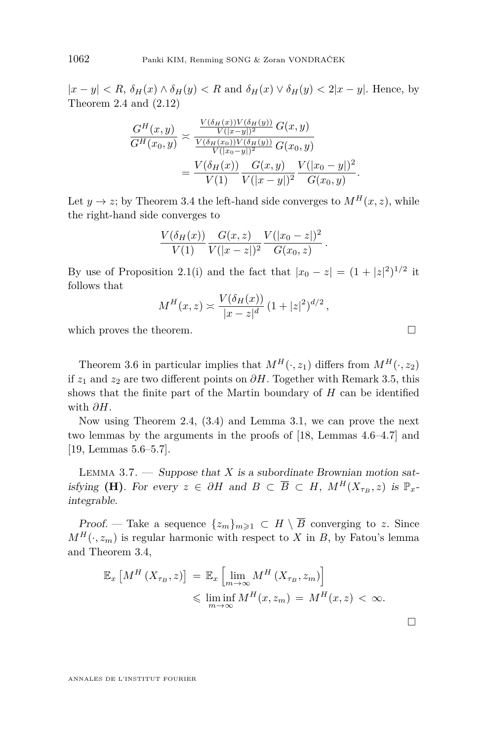$|x-y| < R$ ,  $\delta_H(x) \wedge \delta_H(y) < R$  and  $\delta_H(x) \vee \delta_H(y) < 2|x-y|$ . Hence, by Theorem [2.4](#page-9-0) and [\(2.12\)](#page-10-0)

$$
\frac{G^H(x,y)}{G^H(x_0,y)} \approx \frac{\frac{V(\delta_H(x))V(\delta_H(y))}{V(|x-y|)^2} G(x,y)}{\frac{V(\delta_H(x_0))V(\delta_H(y))}{V(|x_0-y|)^2} G(x_0,y)} = \frac{V(\delta_H(x))}{V(1)} \frac{G(x,y)}{V(|x-y|)^2} \frac{V(|x_0-y|)^2}{G(x_0,y)}.
$$

Let  $y \to z$ ; by Theorem [3.4](#page-17-0) the left-hand side converges to  $M^H(x, z)$ , while the right-hand side converges to

$$
\frac{V(\delta_H(x))}{V(1)} \frac{G(x,z)}{V(|x-z|)^2} \frac{V(|x_0-z|)^2}{G(x_0,z)}.
$$

By use of Proposition [2.1\(](#page-7-0)i) and the fact that  $|x_0 - z| = (1 + |z|^2)^{1/2}$  it follows that

$$
M^H(x, z) \approx \frac{V(\delta_H(x))}{|x - z|^d} (1 + |z|^2)^{d/2},
$$

which proves the theorem.

Theorem [3.6](#page-17-0) in particular implies that  $M^H(\cdot, z_1)$  differs from  $M^H(\cdot, z_2)$ if  $z_1$  and  $z_2$  are two different points on  $\partial H$ . Together with Remark [3.5,](#page-17-0) this shows that the finite part of the Martin boundary of *H* can be identified with *∂H*.

Now using Theorem [2.4,](#page-9-0) [\(3.4\)](#page-13-0) and Lemma [3.1,](#page-14-0) we can prove the next two lemmas by the arguments in the proofs of [\[18,](#page-35-0) Lemmas 4.6–4.7] and [\[19,](#page-35-0) Lemmas 5.6–5.7].

LEMMA 3.7. — Suppose that *X* is a subordinate Brownian motion satisfying **(H)**. For every  $z \in \partial H$  and  $B \subset \overline{B} \subset H$ ,  $M^H(X_{\tau_B}, z)$  is  $\mathbb{P}_x$ integrable.

Proof. — Take a sequence  $\{z_m\}_{m\geqslant 1} \subset H \setminus \overline{B}$  converging to *z*. Since  $M^H(\cdot, z_m)$  is regular harmonic with respect to *X* in *B*, by Fatou's lemma and Theorem [3.4,](#page-17-0)

$$
\mathbb{E}_x \left[ M^H \left( X_{\tau_B}, z \right) \right] = \mathbb{E}_x \left[ \lim_{m \to \infty} M^H \left( X_{\tau_B}, z_m \right) \right] \leq \liminf_{m \to \infty} M^H(x, z_m) = M^H(x, z) < \infty.
$$

<span id="page-18-0"></span>

 $\Box$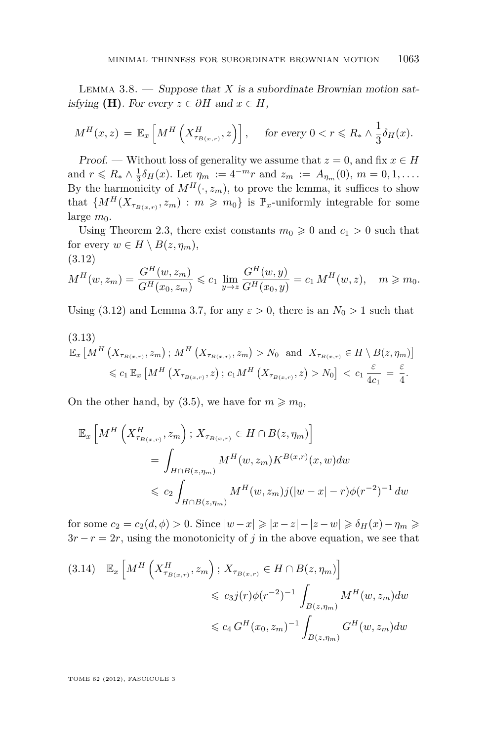<span id="page-19-0"></span>LEMMA  $3.8.$  — Suppose that *X* is a subordinate Brownian motion satisfying **(H)**. For every  $z \in \partial H$  and  $x \in H$ ,

$$
M^H(x,z) = \mathbb{E}_x \left[ M^H \left( X^H_{\tau_{B(x,r)}}, z \right) \right], \quad \text{ for every } 0 < r \leq R_* \wedge \frac{1}{3} \delta_H(x).
$$

Proof. — Without loss of generality we assume that  $z = 0$ , and fix  $x \in H$ and  $r \le R_* \wedge \frac{1}{3} \delta_H(x)$ . Let  $\eta_m := 4^{-m} r$  and  $z_m := A_{\eta_m}(0)$ ,  $m = 0, 1, \ldots$ . By the harmonicity of  $M^H(\cdot, z_m)$ , to prove the lemma, it suffices to show that  $\{M^H(X_{\tau_{B(x,r)}}, z_m) : m \geqslant m_0\}$  is  $\mathbb{P}_x$ -uniformly integrable for some large  $m_0$ .

Using Theorem [2.3,](#page-8-0) there exist constants  $m_0 \geq 0$  and  $c_1 > 0$  such that for every  $w \in H \setminus B(z, \eta_m)$ , (3.12)

$$
M^H(w, z_m) = \frac{G^H(w, z_m)}{G^H(x_0, z_m)} \leq c_1 \lim_{y \to z} \frac{G^H(w, y)}{G^H(x_0, y)} = c_1 M^H(w, z), \quad m \geq m_0.
$$

Using (3.12) and Lemma [3.7,](#page-18-0) for any  $\varepsilon > 0$ , there is an  $N_0 > 1$  such that

$$
(3.13)
$$
\n
$$
\mathbb{E}_x \left[ M^H \left( X_{\tau_{B(x,r)}}, z_m \right); M^H \left( X_{\tau_{B(x,r)}}, z_m \right) > N_0 \text{ and } X_{\tau_{B(x,r)}} \in H \setminus B(z, \eta_m) \right]
$$
\n
$$
\leq c_1 \mathbb{E}_x \left[ M^H \left( X_{\tau_{B(x,r)}}, z \right); c_1 M^H \left( X_{\tau_{B(x,r)}}, z \right) > N_0 \right] < c_1 \frac{\varepsilon}{4c_1} = \frac{\varepsilon}{4}.
$$

On the other hand, by [\(3.5\)](#page-13-0), we have for  $m \ge m_0$ ,

$$
\mathbb{E}_{x} \left[ M^{H} \left( X_{\tau_{B(x,r)}}^{H}, z_{m} \right); X_{\tau_{B(x,r)}} \in H \cap B(z, \eta_{m}) \right]
$$
  

$$
= \int_{H \cap B(z, \eta_{m})} M^{H}(w, z_{m}) K^{B(x,r)}(x, w) dw
$$
  

$$
\leq c_{2} \int_{H \cap B(z, \eta_{m})} M^{H}(w, z_{m}) j(|w - x| - r) \phi(r^{-2})^{-1} dw
$$

for some  $c_2 = c_2(d, \phi) > 0$ . Since  $|w - x| \geq |x - z| - |z - w| \geq \delta_H(x) - \eta_m \geq$  $3r - r = 2r$ , using the monotonicity of *j* in the above equation, we see that

$$
(3.14) \mathbb{E}_x \left[ M^H \left( X^H_{\tau_{B(x,r)}}, z_m \right); X_{\tau_{B(x,r)}} \in H \cap B(z, \eta_m) \right] \le c_3 j(r) \phi(r^{-2})^{-1} \int_{B(z, \eta_m)} M^H(w, z_m) dw
$$
  

$$
\le c_4 G^H(x_0, z_m)^{-1} \int_{B(z, \eta_m)} G^H(w, z_m) dw
$$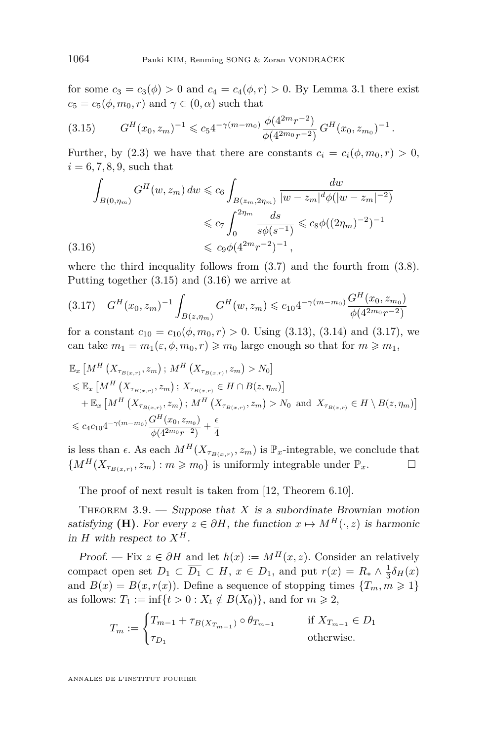for some  $c_3 = c_3(\phi) > 0$  and  $c_4 = c_4(\phi, r) > 0$ . By Lemma [3.1](#page-14-0) there exist  $c_5 = c_5(\phi, m_0, r)$  and  $\gamma \in (0, \alpha)$  such that

$$
(3.15) \tGH(x0, zm)-1 \leq c54-\gamma(m-m0) \frac{\phi(4^{2m}r^{-2})}{\phi(4^{2m_0}r^{-2})} GH(x0, zm0)-1
$$

Further, by [\(2.3\)](#page-7-0) we have that there are constants  $c_i = c_i(\phi, m_0, r) > 0$ ,  $i = 6, 7, 8, 9$ , such that

*.*

$$
\int_{B(0,\eta_m)} G^H(w,z_m) \, dw \leq c_6 \int_{B(z_m,2\eta_m)} \frac{dw}{|w-z_m|^d \phi(|w-z_m|^{-2})} \\
\leq c_7 \int_0^{2\eta_m} \frac{ds}{s\phi(s^{-1})} \leq c_8 \phi((2\eta_m)^{-2})^{-1} \\
\leq c_9 \phi(4^{2m}r^{-2})^{-1},
$$

where the third inequality follows from [\(3.7\)](#page-13-0) and the fourth from [\(3.8\)](#page-13-0). Putting together (3.15) and (3.16) we arrive at

$$
(3.17) \quad G^H(x_0, z_m)^{-1} \int_{B(z, \eta_m)} G^H(w, z_m) \leq c_{10} 4^{-\gamma(m - m_0)} \frac{G^H(x_0, z_{m_0})}{\phi(4^{2m_0}r^{-2})}
$$

for a constant  $c_{10} = c_{10}(\phi, m_0, r) > 0$ . Using [\(3.13\)](#page-19-0), [\(3.14\)](#page-19-0) and (3.17), we can take  $m_1 = m_1(\varepsilon, \phi, m_0, r) \geq m_0$  large enough so that for  $m \geq m_1$ ,

$$
\mathbb{E}_{x} \left[ M^{H} \left( X_{\tau_{B(x,r)}}, z_{m} \right) ; M^{H} \left( X_{\tau_{B(x,r)}}, z_{m} \right) > N_{0} \right]
$$
\n
$$
\leq \mathbb{E}_{x} \left[ M^{H} \left( X_{\tau_{B(x,r)}}, z_{m} \right) ; X_{\tau_{B(x,r)}} \in H \cap B(z, \eta_{m}) \right]
$$
\n
$$
+ \mathbb{E}_{x} \left[ M^{H} \left( X_{\tau_{B(x,r)}}, z_{m} \right) ; M^{H} \left( X_{\tau_{B(x,r)}}, z_{m} \right) > N_{0} \text{ and } X_{\tau_{B(x,r)}} \in H \setminus B(z, \eta_{m}) \right]
$$
\n
$$
\leq c_{4} c_{10} 4^{-\gamma (m - m_{0})} \frac{G^{H}(x_{0}, z_{m_{0}})}{\phi(4^{2m_{0}} r^{-2})} + \frac{\epsilon}{4}
$$

is less than  $\epsilon$ . As each  $M^H(X_{\tau_{B(x,r)}}, z_m)$  is  $\mathbb{P}_x$ -integrable, we conclude that  ${M^H(X_{\tau_{B(x,r)}}, z_m) : m \geqslant m_0}$  is uniformly integrable under  $\mathbb{P}_x$ .

The proof of next result is taken from [\[12,](#page-35-0) Theorem 6.10].

THEOREM  $3.9.$  — Suppose that *X* is a subordinate Brownian motion satisfying **(H)**. For every  $z \in \partial H$ , the function  $x \mapsto M^H(\cdot, z)$  is harmonic in *H* with respect to  $X^H$ .

Proof. — Fix  $z \in \partial H$  and let  $h(x) := M^H(x, z)$ . Consider an relatively compact open set  $D_1 \subset \overline{D_1} \subset H$ ,  $x \in D_1$ , and put  $r(x) = R_* \wedge \frac{1}{3} \delta_H(x)$ and  $B(x) = B(x, r(x))$ . Define a sequence of stopping times  $\{T_m, m \geq 1\}$ as follows:  $T_1 := \inf\{t > 0 : X_t \notin B(X_0)\}\$ , and for  $m \ge 2$ ,

$$
T_m := \begin{cases} T_{m-1} + \tau_{B(X_{T_{m-1}})} \circ \theta_{T_{m-1}} & \text{if } X_{T_{m-1}} \in D_1 \\ \tau_{D_1} & \text{otherwise.} \end{cases}
$$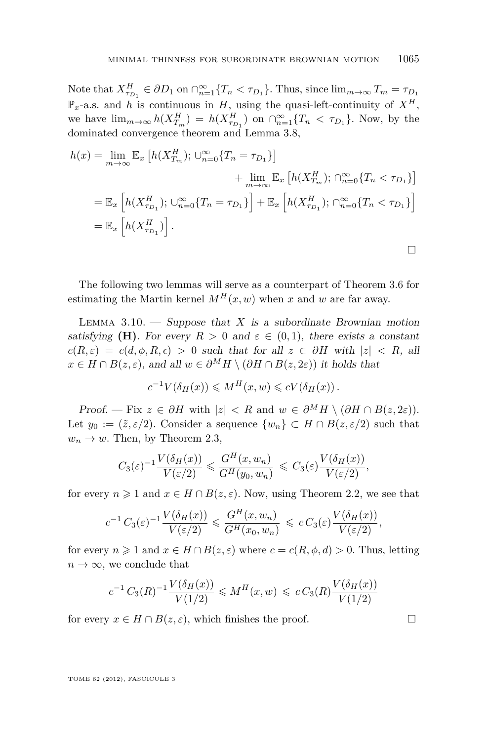<span id="page-21-0"></span>Note that  $X_{\tau_{D_1}}^H \in \partial D_1$  on  $\cap_{n=1}^{\infty} \{T_n < \tau_{D_1}\}\$ . Thus, since  $\lim_{m \to \infty} T_m = \tau_{D_1}$  $\mathbb{P}_x$ -a.s. and *h* is continuous in *H*, using the quasi-left-continuity of  $X^H$ , we have  $\lim_{m\to\infty} h(X_{T_m}^H) = h(X_{\tau_{D_1}}^H)$  on  $\bigcap_{n=1}^{\infty} \{T_n < \tau_{D_1}\}\$ . Now, by the dominated convergence theorem and Lemma [3.8,](#page-19-0)

$$
h(x) = \lim_{m \to \infty} \mathbb{E}_x \left[ h(X_{T_m}^H); \cup_{n=0}^{\infty} \{ T_n = \tau_{D_1} \} \right]
$$
  
+ 
$$
\lim_{m \to \infty} \mathbb{E}_x \left[ h(X_{T_m}^H); \cap_{n=0}^{\infty} \{ T_n < \tau_{D_1} \} \right]
$$
  
= 
$$
\mathbb{E}_x \left[ h(X_{\tau_{D_1}}^H); \cup_{n=0}^{\infty} \{ T_n = \tau_{D_1} \} \right] + \mathbb{E}_x \left[ h(X_{\tau_{D_1}}^H); \cap_{n=0}^{\infty} \{ T_n < \tau_{D_1} \} \right]
$$
  
= 
$$
\mathbb{E}_x \left[ h(X_{\tau_{D_1}}^H) \right].
$$

The following two lemmas will serve as a counterpart of Theorem [3.6](#page-17-0) for estimating the Martin kernel  $M^H(x, w)$  when *x* and *w* are far away.

LEMMA  $3.10.$  – Suppose that *X* is a subordinate Brownian motion satisfying **(H)**. For every  $R > 0$  and  $\varepsilon \in (0,1)$ , there exists a constant  $c(R, \varepsilon) = c(d, \phi, R, \epsilon) > 0$  such that for all  $z \in \partial H$  with  $|z| < R$ , all *x* ∈ *H* ∩ *B*(*z*,  $\varepsilon$ ), and all  $w \in \partial^M H \setminus (\partial H \cap B(z, 2\varepsilon))$  it holds that

$$
c^{-1}V(\delta_H(x)) \leqslant M^H(x, w) \leqslant cV(\delta_H(x)).
$$

Proof. — Fix  $z \in \partial H$  with  $|z| < R$  and  $w \in \partial^M H \setminus (\partial H \cap B(z, 2\varepsilon)).$ Let  $y_0 := (\tilde{z}, \varepsilon/2)$ . Consider a sequence  $\{w_n\} \subset H \cap B(z, \varepsilon/2)$  such that  $w_n \to w$ . Then, by Theorem [2.3,](#page-8-0)

$$
C_3(\varepsilon)^{-1} \frac{V(\delta_H(x))}{V(\varepsilon/2)} \leqslant \frac{G^H(x, w_n)}{G^H(y_0, w_n)} \leqslant C_3(\varepsilon) \frac{V(\delta_H(x))}{V(\varepsilon/2)},
$$

for every  $n \geq 1$  and  $x \in H \cap B(z, \varepsilon)$ . Now, using Theorem [2.2,](#page-8-0) we see that

$$
c^{-1} C_3(\varepsilon)^{-1} \frac{V(\delta_H(x))}{V(\varepsilon/2)} \leqslant \frac{G^H(x, w_n)}{G^H(x_0, w_n)} \leqslant c C_3(\varepsilon) \frac{V(\delta_H(x))}{V(\varepsilon/2)},
$$

for every  $n \geq 1$  and  $x \in H \cap B(z, \varepsilon)$  where  $c = c(R, \phi, d) > 0$ . Thus, letting  $n \to \infty$ , we conclude that

$$
c^{-1} C_3(R)^{-1} \frac{V(\delta_H(x))}{V(1/2)} \leq M^H(x, w) \leqslant c C_3(R) \frac{V(\delta_H(x))}{V(1/2)}
$$

for every  $x \in H \cap B(z, \varepsilon)$ , which finishes the proof.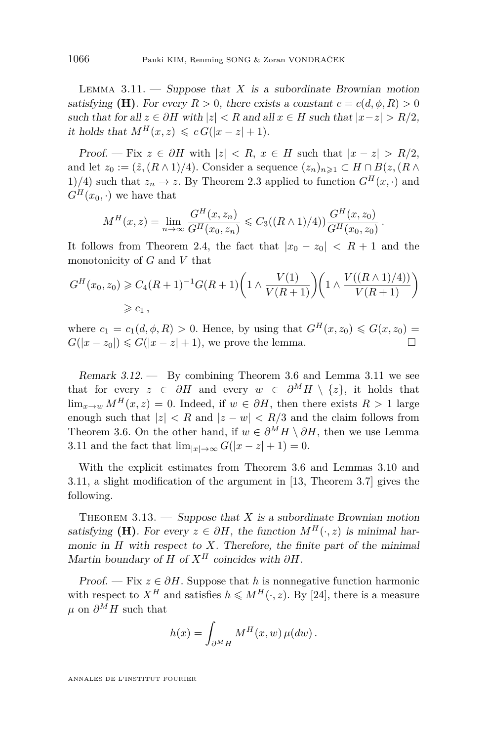<span id="page-22-0"></span>LEMMA  $3.11.$  — Suppose that *X* is a subordinate Brownian motion satisfying **(H)**. For every  $R > 0$ , there exists a constant  $c = c(d, \phi, R) > 0$ such that for all  $z \in \partial H$  with  $|z| < R$  and all  $x \in H$  such that  $|x-z| > R/2$ , it holds that  $M^H(x, z) \leqslant c G(|x - z| + 1)$ .

Proof. — Fix  $z \in \partial H$  with  $|z| < R$ ,  $x \in H$  such that  $|x - z| > R/2$ , and let  $z_0 := (\tilde{z}, (R \wedge 1)/4)$ . Consider a sequence  $(z_n)_{n \geq 1} \subset H \cap B(z, (R \wedge$ 1)/4) such that  $z_n \to z$ . By Theorem [2.3](#page-8-0) applied to function  $G^H(x, \cdot)$  and  $G^H(x_0, \cdot)$  we have that

$$
M^H(x,z) = \lim_{n \to \infty} \frac{G^H(x,z_n)}{G^H(x_0,z_n)} \leqslant C_3((R \wedge 1)/4)) \frac{G^H(x,z_0)}{G^H(x_0,z_0)}.
$$

It follows from Theorem [2.4,](#page-9-0) the fact that  $|x_0 - z_0| < R + 1$  and the monotonicity of *G* and *V* that

$$
G^{H}(x_0, z_0) \geq C_4 (R+1)^{-1} G(R+1) \left(1 \wedge \frac{V(1)}{V(R+1)}\right) \left(1 \wedge \frac{V((R \wedge 1)/4))}{V(R+1)}\right)
$$
  
\n
$$
\geq c_1,
$$

where  $c_1 = c_1(d, \phi, R) > 0$ . Hence, by using that  $G^H(x, z_0) \le G(x, z_0) =$  $G(|x-z_0|) \leq G(|x-z|+1)$ , we prove the lemma.

Remark 3.12. — By combining Theorem [3.6](#page-17-0) and Lemma 3.11 we see that for every  $z \in \partial H$  and every  $w \in \partial^M H \setminus \{z\}$ , it holds that  $\lim_{x\to w} M^H(x, z) = 0$ . Indeed, if  $w \in \partial H$ , then there exists  $R > 1$  large enough such that  $|z| < R$  and  $|z - w| < R/3$  and the claim follows from Theorem [3.6.](#page-17-0) On the other hand, if  $w \in \partial^M H \setminus \partial H$ , then we use Lemma 3.11 and the fact that  $\lim_{|x| \to \infty} G(|x-z|+1) = 0$ .

With the explicit estimates from Theorem [3.6](#page-17-0) and Lemmas [3.10](#page-21-0) and 3.11, a slight modification of the argument in [\[13,](#page-35-0) Theorem 3.7] gives the following.

THEOREM  $3.13.$  — Suppose that *X* is a subordinate Brownian motion satisfying **(H)**. For every  $z \in \partial H$ , the function  $M^H(\cdot, z)$  is minimal harmonic in *H* with respect to *X*. Therefore, the finite part of the minimal Martin boundary of *H* of  $X^H$  coincides with  $\partial H$ .

Proof. — Fix  $z \in \partial H$ . Suppose that *h* is nonnegative function harmonic with respect to  $X^H$  and satisfies  $h \leq M^H(\cdot, z)$ . By [\[24\]](#page-35-0), there is a measure *µ* on  $\partial^M H$  such that

$$
h(x) = \int_{\partial^M H} M^H(x, w) \,\mu(dw).
$$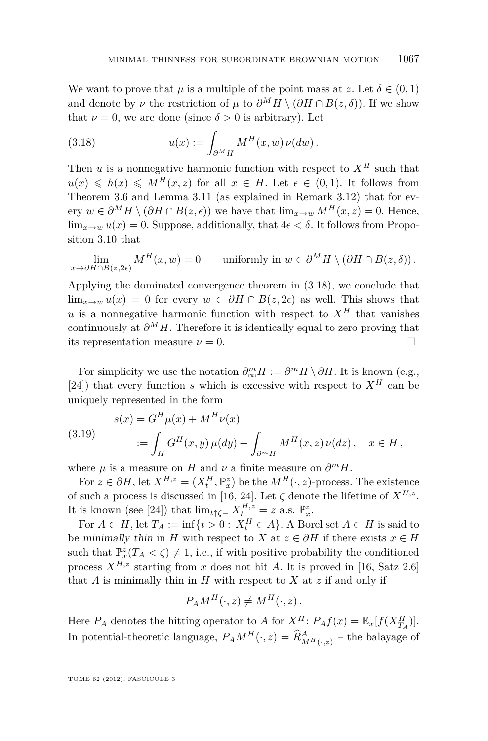<span id="page-23-0"></span>We want to prove that  $\mu$  is a multiple of the point mass at *z*. Let  $\delta \in (0,1)$ and denote by *ν* the restriction of  $\mu$  to  $\partial^M H \setminus (\partial H \cap B(z, \delta))$ . If we show that  $\nu = 0$ , we are done (since  $\delta > 0$  is arbitrary). Let

(3.18) 
$$
u(x) := \int_{\partial^M H} M^H(x, w) \, \nu(dw).
$$

Then  $u$  is a nonnegative harmonic function with respect to  $X^H$  such that  $u(x) \leq h(x) \leq M^H(x, z)$  for all  $x \in H$ . Let  $\epsilon \in (0, 1)$ . It follows from Theorem [3.6](#page-17-0) and Lemma [3.11](#page-22-0) (as explained in Remark [3.12\)](#page-22-0) that for every  $w \in \partial^M H \setminus (\partial H \cap B(z, \epsilon))$  we have that  $\lim_{x \to w} M^H(x, z) = 0$ . Hence,  $\lim_{x\to w} u(x) = 0$ . Suppose, additionally, that  $4\epsilon < \delta$ . It follows from Proposition [3.10](#page-21-0) that

$$
\lim_{x \to \partial H \cap B(z, 2\epsilon)} M^H(x, w) = 0 \quad \text{uniformly in } w \in \partial^M H \setminus (\partial H \cap B(z, \delta)).
$$

Applying the dominated convergence theorem in (3.18), we conclude that lim<sub>*x*→*w*</sub>  $u(x) = 0$  for every  $w \in \partial H \cap B(z, 2\epsilon)$  as well. This shows that *u* is a nonnegative harmonic function with respect to  $X^H$  that vanishes continuously at  $\partial^M H$ . Therefore it is identically equal to zero proving that its representation measure  $\nu = 0$ .

For simplicity we use the notation  $\partial_{\infty}^{m} H := \partial^{m} H \setminus \partial H$ . It is known (e.g., [\[24\]](#page-35-0)) that every function *s* which is excessive with respect to  $X^H$  can be uniquely represented in the form

(3.19) 
$$
s(x) = G^H \mu(x) + M^H \nu(x)
$$

$$
:= \int_H G^H(x, y) \mu(dy) + \int_{\partial^m H} M^H(x, z) \nu(dz), \quad x \in H,
$$

where  $\mu$  is a measure on *H* and  $\nu$  a finite measure on  $\partial^m H$ .

For  $z \in \partial H$ , let  $X^{H,z} = (X_t^H, \mathbb{P}_x^z)$  be the  $M^H(\cdot, z)$ -process. The existence of such a process is discussed in [\[16,](#page-35-0) [24\]](#page-35-0). Let  $\zeta$  denote the lifetime of  $X^{H,z}$ . It is known (see [\[24\]](#page-35-0)) that  $\lim_{t \uparrow \zeta^-} X_t^{H,z} = z$  a.s.  $\mathbb{P}_x^z$ .

For  $A \subset H$ , let  $T_A := \inf\{t > 0 : X_t^H \in A\}$ . A Borel set  $A \subset H$  is said to be minimally thin in *H* with respect to *X* at  $z \in \partial H$  if there exists  $x \in H$ such that  $\mathbb{P}_x^z(T_A < \zeta) \neq 1$ , i.e., if with positive probability the conditioned process  $X^{H,z}$  starting from *x* does not hit *A*. It is proved in [\[16,](#page-35-0) Satz 2.6] that  $A$  is minimally thin in  $H$  with respect to  $X$  at  $z$  if and only if

$$
P_A M^H(\cdot, z) \neq M^H(\cdot, z).
$$

Here  $P_A$  denotes the hitting operator to *A* for  $X^H$ :  $P_A f(x) = \mathbb{E}_x[f(X^H_{T_A})]$ . In potential-theoretic language,  $P_A M^H(\cdot, z) = \hat{R}^A_{M^H(\cdot, z)}$  – the balayage of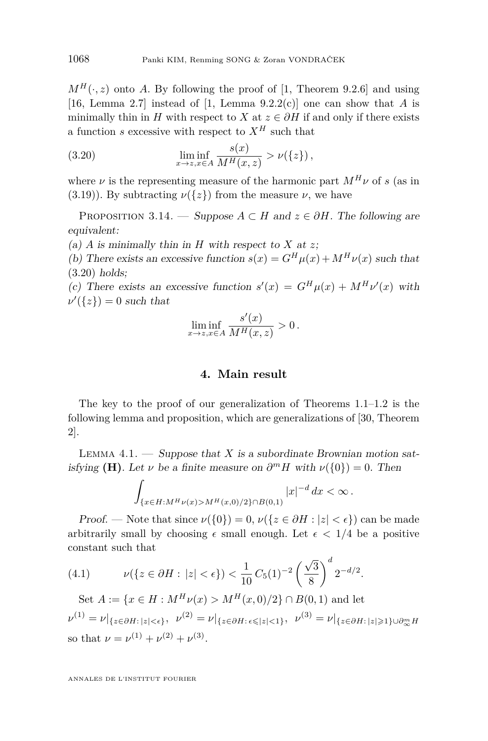<span id="page-24-0"></span> $M^H(\cdot, z)$  onto *A*. By following the proof of [\[1,](#page-34-0) Theorem 9.2.6] and using [\[16,](#page-35-0) Lemma 2.7] instead of [\[1,](#page-34-0) Lemma 9.2.2(c)] one can show that *A* is minimally thin in *H* with respect to *X* at  $z \in \partial H$  if and only if there exists a function *s* excessive with respect to  $X^H$  such that

(3.20) 
$$
\liminf_{x \to z, x \in A} \frac{s(x)}{M^H(x, z)} > \nu(\{z\}),
$$

where  $\nu$  is the representing measure of the harmonic part  $M^H \nu$  of *s* (as in [\(3.19\)](#page-23-0)). By subtracting  $\nu({z})$  from the measure  $\nu$ , we have

PROPOSITION 3.14. — Suppose  $A \subset H$  and  $z \in \partial H$ . The following are equivalent:

(a)  $\overline{A}$  is minimally thin in  $H$  with respect to  $\overline{X}$  at  $\overline{z}$ ;

(b) There exists an excessive function  $s(x) = G^H \mu(x) + M^H \nu(x)$  such that (3.20) holds;

(c) There exists an excessive function  $s'(x) = G^H \mu(x) + M^H \nu'(x)$  with  $\nu'(\{z\}) = 0$  such that

$$
\liminf_{x \to z, x \in A} \frac{s'(x)}{M^H(x, z)} > 0.
$$

#### **4. Main result**

The key to the proof of our generalization of Theorems [1.1–1.2](#page-2-0) is the following lemma and proposition, which are generalizations of [\[30,](#page-36-0) Theorem 2].

LEMMA  $4.1.$  — Suppose that *X* is a subordinate Brownian motion satisfying **(H)**. Let *ν* be a finite measure on  $\partial^m H$  with  $\nu({0}) = 0$ . Then

$$
\int_{\{x\in H: M^H \nu(x) > M^H(x,0)/2\}\cap B(0,1)} |x|^{-d} dx < \infty.
$$

Proof. — Note that since  $\nu({0}) = 0$ ,  $\nu({z \in \partial H : |z| < \epsilon})$  can be made arbitrarily small by choosing  $\epsilon$  small enough. Let  $\epsilon$  < 1/4 be a positive constant such that

(4.1) 
$$
\nu(\{z \in \partial H : |z| < \epsilon\}) < \frac{1}{10} C_5(1)^{-2} \left(\frac{\sqrt{3}}{8}\right)^d 2^{-d/2}.
$$

Set  $A := \{x \in H : M^H \nu(x) > M^H(x, 0)/2\} \cap B(0, 1)$  and let  $\nu^{(1)} = \nu|_{\{z \in \partial H : |z| < \epsilon\}}, \ \nu^{(2)} = \nu|_{\{z \in \partial H : \epsilon \leqslant |z| < 1\}}, \ \nu^{(3)} = \nu|_{\{z \in \partial H : |z| \geqslant 1\} \cup \partial_{\infty}^m H}$ so that  $\nu = \nu^{(1)} + \nu^{(2)} + \nu^{(3)}$ .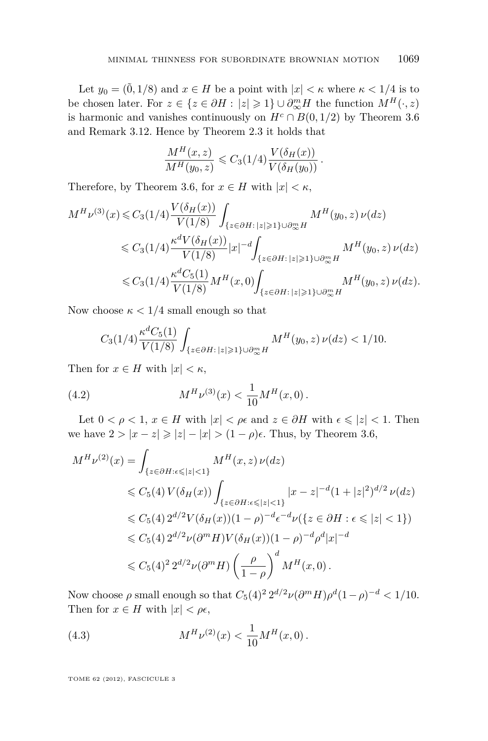<span id="page-25-0"></span>Let  $y_0 = (\tilde{0}, 1/8)$  and  $x \in H$  be a point with  $|x| < \kappa$  where  $\kappa < 1/4$  is to be chosen later. For  $z \in \{z \in \partial H : |z| \geqslant 1\} \cup \partial_{\infty}^{m} H$  the function  $M^{H}(\cdot, z)$ is harmonic and vanishes continuously on  $H^c \cap B(0, 1/2)$  by Theorem [3.6](#page-17-0) and Remark [3.12.](#page-22-0) Hence by Theorem [2.3](#page-8-0) it holds that

$$
\frac{M^H(x,z)}{M^H(y_0,z)} \leqslant C_3(1/4) \frac{V(\delta_H(x))}{V(\delta_H(y_0))}.
$$

Therefore, by Theorem [3.6,](#page-17-0) for  $x \in H$  with  $|x| < \kappa$ ,

$$
M^{H}\nu^{(3)}(x) \leq C_{3}(1/4) \frac{V(\delta_{H}(x))}{V(1/8)} \int_{\{z \in \partial H : |z| \geq 1\} \cup \partial_{\infty}^{m} H} M^{H}(y_{0}, z) \nu(dz)
$$
  

$$
\leq C_{3}(1/4) \frac{\kappa^{d}V(\delta_{H}(x))}{V(1/8)} |x|^{-d} \int_{\{z \in \partial H : |z| \geq 1\} \cup \partial_{\infty}^{m} H} M^{H}(y_{0}, z) \nu(dz)
$$
  

$$
\leq C_{3}(1/4) \frac{\kappa^{d}C_{5}(1)}{V(1/8)} M^{H}(x, 0) \int_{\{z \in \partial H : |z| \geq 1\} \cup \partial_{\infty}^{m} H} M^{H}(y_{0}, z) \nu(dz).
$$

Now choose  $\kappa < 1/4$  small enough so that

$$
C_3(1/4)\frac{\kappa^d C_5(1)}{V(1/8)}\int_{\{z\in \partial H:\,|z|\geq 1\}\cup \partial_{\infty}^m H}M^H(y_0,z)\,\nu(dz)<1/10.
$$

Then for  $x \in H$  with  $|x| < \kappa$ ,

(4.2) 
$$
M^{H} \nu^{(3)}(x) < \frac{1}{10} M^{H}(x,0) \, .
$$

Let  $0 < \rho < 1$ ,  $x \in H$  with  $|x| < \rho \epsilon$  and  $z \in \partial H$  with  $\epsilon \leq |z| < 1$ . Then we have  $2 > |x - z| \geq |z| - |x| > (1 - \rho)\epsilon$ . Thus, by Theorem [3.6,](#page-17-0)

$$
M^{H}\nu^{(2)}(x) = \int_{\{z \in \partial H : \epsilon \leq |z| < 1\}} M^{H}(x, z) \nu(dz)
$$
  
\n
$$
\leq C_{5}(4) V(\delta_{H}(x)) \int_{\{z \in \partial H : \epsilon \leq |z| < 1\}} |x - z|^{-d} (1 + |z|^{2})^{d/2} \nu(dz)
$$
  
\n
$$
\leq C_{5}(4) 2^{d/2} V(\delta_{H}(x)) (1 - \rho)^{-d} \epsilon^{-d} \nu(\{z \in \partial H : \epsilon \leq |z| < 1\})
$$
  
\n
$$
\leq C_{5}(4) 2^{d/2} \nu(\partial^{m} H) V(\delta_{H}(x)) (1 - \rho)^{-d} \rho^{d} |x|^{-d}
$$
  
\n
$$
\leq C_{5}(4)^{2} 2^{d/2} \nu(\partial^{m} H) \left(\frac{\rho}{1 - \rho}\right)^{d} M^{H}(x, 0).
$$

Now choose  $\rho$  small enough so that  $C_5(4)^2 2^{d/2} \nu (\partial^m H) \rho^d (1-\rho)^{-d} < 1/10$ . Then for  $x \in H$  with  $|x| < \rho \epsilon$ ,

(4.3) 
$$
M^{H} \nu^{(2)}(x) < \frac{1}{10} M^{H}(x,0) \, .
$$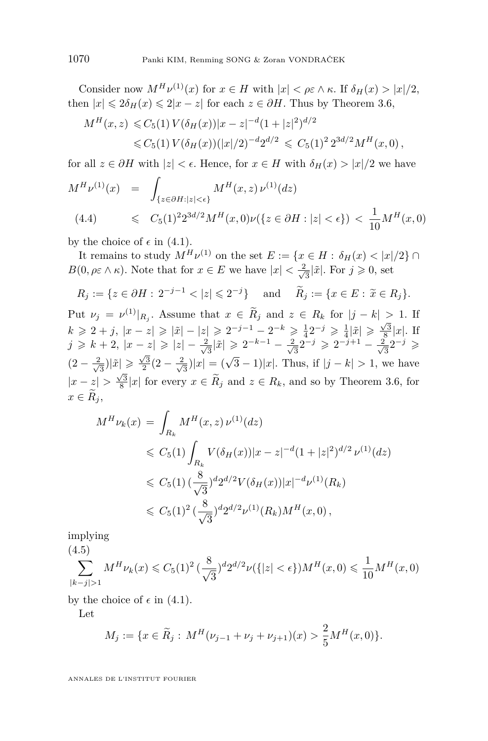Consider now  $M^H \nu^{(1)}(x)$  for  $x \in H$  with  $|x| < \rho \varepsilon \wedge \kappa$ . If  $\delta_H(x) > |x|/2$ , then  $|x| \leq 2\delta_H(x) \leq 2|x-z|$  for each  $z \in \partial H$ . Thus by Theorem [3.6,](#page-17-0)

$$
M^H(x, z) \leq C_5(1) V(\delta_H(x)) |x - z|^{-d} (1 + |z|^2)^{d/2}
$$
  

$$
\leq C_5(1) V(\delta_H(x)) (|x|/2)^{-d} 2^{d/2} \leq C_5(1)^2 2^{3d/2} M^H(x, 0),
$$

for all  $z \in \partial H$  with  $|z| < \epsilon$ . Hence, for  $x \in H$  with  $\delta_H(x) > |x|/2$  we have

$$
M^{H}\nu^{(1)}(x) = \int_{\{z \in \partial H : |z| < \epsilon\}} M^{H}(x, z) \nu^{(1)}(dz)
$$
\n
$$
(4.4) \le C_5(1)^2 2^{3d/2} M^{H}(x, 0) \nu(\{z \in \partial H : |z| < \epsilon\}) < \frac{1}{10} M^{H}(x, 0)
$$

by the choice of  $\epsilon$  in [\(4.1\)](#page-24-0).

It remains to study  $M^H \nu^{(1)}$  on the set  $E := \{x \in H : \delta_H(x) < |x|/2\} \cap$ *B*(0*,*  $\rho \in \wedge \kappa$ *). Note that for*  $x \in E$  *we have*  $|x| < \frac{2}{\sqrt{\kappa}}$  $\frac{1}{3}|\tilde{x}|.$  For  $j \geqslant 0$ , set

$$
R_j := \{ z \in \partial H : 2^{-j-1} < |z| \leq 2^{-j} \}
$$
 and  $\widetilde{R}_j := \{ x \in E : \widetilde{x} \in R_j \}.$ 

Put  $\nu_j = \nu^{(1)}|_{R_j}$ . Assume that  $x \in R_j$  and  $z \in R_k$  for  $|j - k| > 1$ . If  $k \ge 2 + j$ ,  $|x - z| \ge |\tilde{x}| - |z| \ge 2^{-j-1} - 2^{-k} \ge \frac{1}{4} 2^{-j} \ge \frac{1}{4} |\tilde{x}| \ge \frac{\sqrt{3}}{8} |x|$ . If *j* ≥ *k* + 2, |*x* − *z*| ≥ |*z*| −  $\frac{2}{\sqrt{2}}$  $\frac{2}{3}|\tilde{x}|$  ≥  $2^{-k-1} - \frac{2}{\sqrt{2}}$  $\frac{2}{3}2^{-j} \geqslant 2^{-j+1} - \frac{2}{\sqrt{3}}$  $\frac{1}{3}2^{-j} \geqslant$  $(2-\frac{2}{\sqrt{2}})$  $\frac{1}{3}$  $|\tilde{x}| \geqslant \frac{\sqrt{3}}{2}(2 - \frac{2}{\sqrt{3}})$  $\frac{\sqrt{3}}{3}|x| = (\sqrt{3} - 1)|x|$ . Thus, if  $|j - k| > 1$ , we have  $|x-z| > \frac{\sqrt{3}}{8}|x|$  for every  $x \in \widetilde{R}_j$  and  $z \in R_k$ , and so by Theorem [3.6,](#page-17-0) for  $x \in \widetilde{R}_i$ 

$$
M^{H}\nu_{k}(x) = \int_{R_{k}} M^{H}(x, z) \nu^{(1)}(dz)
$$
  
\n
$$
\leq C_{5}(1) \int_{R_{k}} V(\delta_{H}(x)) |x - z|^{-d} (1 + |z|^{2})^{d/2} \nu^{(1)}(dz)
$$
  
\n
$$
\leq C_{5}(1) \left(\frac{8}{\sqrt{3}}\right)^{d} 2^{d/2} V(\delta_{H}(x)) |x|^{-d} \nu^{(1)}(R_{k})
$$
  
\n
$$
\leq C_{5}(1)^{2} \left(\frac{8}{\sqrt{3}}\right)^{d} 2^{d/2} \nu^{(1)}(R_{k}) M^{H}(x, 0),
$$

implying  $(4.5)$ 

$$
\sum_{|k-j|>1} M^H \nu_k(x) \leq C_5(1)^2 \left(\frac{8}{\sqrt{3}}\right)^d 2^{d/2} \nu({\{|z| < \epsilon\}}) M^H(x,0) \leq \frac{1}{10} M^H(x,0)
$$

by the choice of  $\epsilon$  in [\(4.1\)](#page-24-0).

Let

$$
M_j := \{ x \in \widetilde{R}_j : M^H(\nu_{j-1} + \nu_j + \nu_{j+1})(x) > \frac{2}{5} M^H(x,0) \}.
$$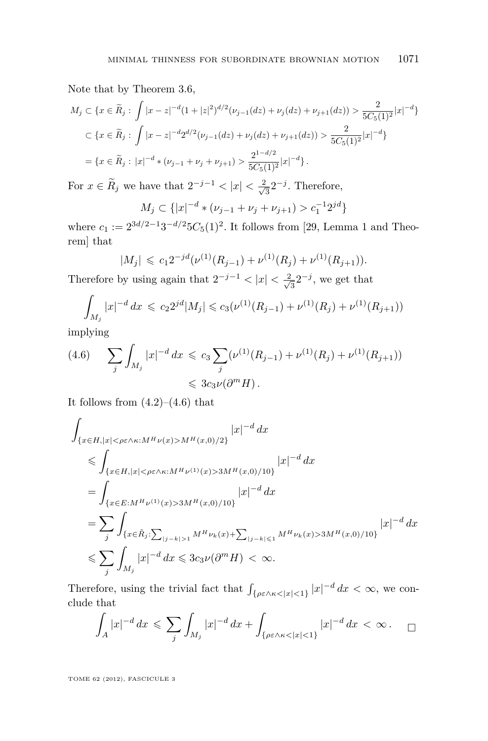Note that by Theorem [3.6,](#page-17-0)

$$
M_j \subset \{x \in \widetilde{R}_j : \int |x - z|^{-d} (1 + |z|^2)^{d/2} (\nu_{j-1}(dz) + \nu_j(dz) + \nu_{j+1}(dz)) > \frac{2}{5C_5(1)^2} |x|^{-d}\}
$$
  

$$
\subset \{x \in \widetilde{R}_j : \int |x - z|^{-d} 2^{d/2} (\nu_{j-1}(dz) + \nu_j(dz) + \nu_{j+1}(dz)) > \frac{2}{5C_5(1)^2} |x|^{-d}\}
$$
  

$$
= \{x \in \widetilde{R}_j : |x|^{-d} * (\nu_{j-1} + \nu_j + \nu_{j+1}) > \frac{2^{1-d/2}}{5C_5(1)^2} |x|^{-d}\}.
$$

For  $x \in R_j$  we have that  $2^{-j-1} < |x| < \frac{2}{\sqrt{n}}$  $\frac{2}{3}2^{-j}$ . Therefore,

$$
M_j \subset \{|x|^{-d} * (\nu_{j-1} + \nu_j + \nu_{j+1}) > c_1^{-1} 2^{jd}\}
$$

where  $c_1 := 2^{3d/2-1}3^{-d/2}5C_5(1)^2$ . It follows from [\[29,](#page-36-0) Lemma 1 and Theorem] that

$$
|M_j| \leq c_1 2^{-jd} (\nu^{(1)}(R_{j-1}) + \nu^{(1)}(R_j) + \nu^{(1)}(R_{j+1})).
$$

Therefore by using again that  $2^{-j-1} < |x| < \frac{2}{\sqrt{k}}$  $\frac{1}{3}2^{-j}$ , we get that

$$
\int_{M_j} |x|^{-d} dx \leqslant c_2 2^{jd} |M_j| \leqslant c_3(\nu^{(1)}(R_{j-1}) + \nu^{(1)}(R_j) + \nu^{(1)}(R_{j+1}))
$$

implying

$$
(4.6) \qquad \sum_{j} \int_{M_j} |x|^{-d} dx \leqslant c_3 \sum_{j} (\nu^{(1)}(R_{j-1}) + \nu^{(1)}(R_j) + \nu^{(1)}(R_{j+1}))
$$
  

$$
\leqslant 3c_3 \nu(\partial^m H).
$$

It follows from  $(4.2)$ – $(4.6)$  that

$$
\int_{\{x \in H, |x| < \rho \varepsilon \wedge \kappa : M^H \nu(x) > M^H (x, 0)/2\}} |x|^{-d} dx
$$
\n
$$
\leqslant \int_{\{x \in H, |x| < \rho \varepsilon \wedge \kappa : M^H \nu^{(1)}(x) > 3M^H (x, 0)/10\}} |x|^{-d} dx
$$
\n
$$
= \int_{\{x \in E : M^H \nu^{(1)}(x) > 3M^H (x, 0)/10\}} |x|^{-d} dx
$$
\n
$$
= \sum_{j} \int_{\{x \in \tilde{R}_j : \sum_{|j - k| > 1} M^H \nu_k(x) + \sum_{|j - k| \leqslant 1} M^H \nu_k(x) > 3M^H (x, 0)/10\}} |x|^{-d} dx
$$
\n
$$
\leqslant \sum_{j} \int_{M_j} |x|^{-d} dx \leqslant 3c_3 \nu(\partial^m H) < \infty.
$$

Therefore, using the trivial fact that  $\int_{\{\rho \varepsilon \wedge \kappa \leq |x| \leq 1\}} |x|^{-d} dx < \infty$ , we conclude that

$$
\int_A |x|^{-d} \, dx \leqslant \sum_j \int_{M_j} |x|^{-d} \, dx + \int_{\{\rho \in \wedge \kappa < |x| < 1\}} |x|^{-d} \, dx < \infty \, . \quad \Box
$$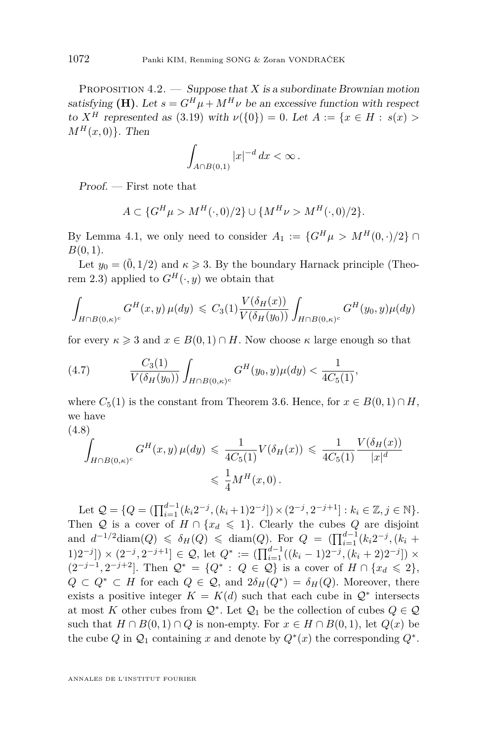<span id="page-28-0"></span>PROPOSITION 4.2. — Suppose that *X* is a subordinate Brownian motion satisfying **(H)**. Let  $s = G^H \mu + M^H \nu$  be an excessive function with respect to  $X^H$  represented as [\(3.19\)](#page-23-0) with  $\nu({0}) = 0$ . Let  $A := \{x \in H : s(x) >$  $M^H(x,0)$ . Then

$$
\int_{A\cap B(0,1)}|x|^{-d}\,dx < \infty\,.
$$

Proof. — First note that

$$
A \subset \{G^{H}\mu > M^{H}(\cdot,0)/2\} \cup \{M^{H}\nu > M^{H}(\cdot,0)/2\}.
$$

By Lemma [4.1,](#page-24-0) we only need to consider  $A_1 := \{G^H \mu > M^H(0, \cdot)/2\} \cap$ *B*(0*,* 1).

Let  $y_0 = (\tilde{0}, 1/2)$  and  $\kappa \geq 3$ . By the boundary Harnack principle (Theo-rem [2.3\)](#page-8-0) applied to  $G^H(\cdot, y)$  we obtain that

$$
\int_{H \cap B(0,\kappa)^c} G^H(x,y) \,\mu(dy) \leq C_3(1) \frac{V(\delta_H(x))}{V(\delta_H(y_0))} \int_{H \cap B(0,\kappa)^c} G^H(y_0,y) \mu(dy)
$$

for every  $\kappa \geq 3$  and  $x \in B(0,1) \cap H$ . Now choose  $\kappa$  large enough so that

(4.7) 
$$
\frac{C_3(1)}{V(\delta_H(y_0))} \int_{H \cap B(0,\kappa)^c} G^H(y_0, y) \mu(dy) < \frac{1}{4C_5(1)},
$$

where  $C_5(1)$  is the constant from Theorem [3.6.](#page-17-0) Hence, for  $x \in B(0,1) \cap H$ , we have (4.8)

$$
\int_{H \cap B(0,\kappa)^c} G^H(x,y) \,\mu(dy) \leq \frac{1}{4C_5(1)} V(\delta_H(x)) \leq \frac{1}{4C_5(1)} \frac{V(\delta_H(x))}{|x|^d}
$$
\n
$$
\leq \frac{1}{4} M^H(x,0).
$$

Let  $Q = \{Q = (\prod_{i=1}^{d-1} (k_i 2^{-j}, (k_i+1)2^{-j}]) \times (2^{-j}, 2^{-j+1}] : k_i \in \mathbb{Z}, j \in \mathbb{N}\}.$ Then Q is a cover of  $H \cap \{x_d \leq 1\}$ . Clearly the cubes Q are disjoint and  $d^{-1/2}$  diam(*Q*)  $\leq \delta$ *H*(*Q*)  $\leq$  diam(*Q*)*.* For  $Q = (\prod_{i=1}^{d-1} (k_i 2^{-j}, (k_i +$ 1)2<sup>-*j*</sup>]) × (2<sup>-*j*</sup>, 2<sup>-*j*+1</sup>] ∈ Q, let  $Q^* := (\prod_{i=1}^{d-1} ((k_i - 1)2^{-j}, (k_i + 2)2^{-j}) \times$  $(2^{-j-1}, 2^{-j+2}]$ . Then  $\mathcal{Q}^* = \{Q^* : Q \in \mathcal{Q}\}\$ is a cover of *H* ∩ {*x<sub>d</sub>* ≤ 2},  $Q \subset Q^* \subset H$  for each  $Q \in \mathcal{Q}$ , and  $2\delta_H(Q^*) = \delta_H(Q)$ . Moreover, there exists a positive integer  $K = K(d)$  such that each cube in  $\mathcal{Q}^*$  intersects at most *K* other cubes from  $\mathcal{Q}^*$ . Let  $\mathcal{Q}_1$  be the collection of cubes  $Q \in \mathcal{Q}$ such that  $H \cap B(0,1) \cap Q$  is non-empty. For  $x \in H \cap B(0,1)$ , let  $Q(x)$  be the cube  $Q$  in  $Q_1$  containing  $x$  and denote by  $Q^*(x)$  the corresponding  $Q^*$ .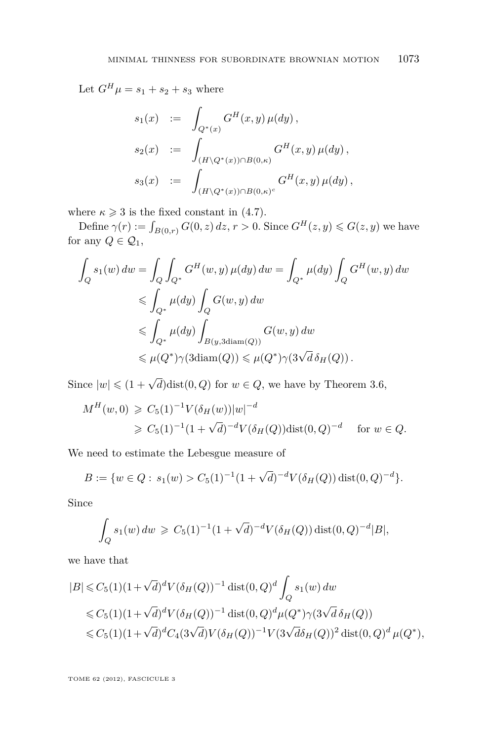Let  $G^H \mu = s_1 + s_2 + s_3$  where

$$
s_1(x) := \int_{Q^*(x)} G^H(x, y) \mu(dy),
$$
  
\n
$$
s_2(x) := \int_{(H \setminus Q^*(x)) \cap B(0, \kappa)} G^H(x, y) \mu(dy),
$$
  
\n
$$
s_3(x) := \int_{(H \setminus Q^*(x)) \cap B(0, \kappa)^c} G^H(x, y) \mu(dy),
$$

where  $\kappa \geq 3$  is the fixed constant in [\(4.7\)](#page-28-0).

Define  $\gamma(r) := \int_{B(0,r)} G(0, z) dz, r > 0$ . Since  $G^H(z, y) \leq G(z, y)$  we have for any  $Q \in \mathcal{Q}_1$ ,

$$
\int_{Q} s_1(w) dw = \int_{Q} \int_{Q^*} G^H(w, y) \mu(dy) dw = \int_{Q^*} \mu(dy) \int_{Q} G^H(w, y) dw
$$
  
\n
$$
\leq \int_{Q^*} \mu(dy) \int_{Q} G(w, y) dw
$$
  
\n
$$
\leq \int_{Q^*} \mu(dy) \int_{B(y, 3 \text{diam}(Q))} G(w, y) dw
$$
  
\n
$$
\leq \mu(Q^*) \gamma(3 \text{diam}(Q)) \leq \mu(Q^*) \gamma(3 \sqrt{d} \delta_H(Q)).
$$

Since  $|w| \leq (1 + \sqrt{d})\text{dist}(0, Q)$  for  $w \in Q$ , we have by Theorem [3.6,](#page-17-0)

$$
M^H(w,0) \geq C_5(1)^{-1} V(\delta_H(w)) |w|^{-d}
$$
  
\n
$$
\geq C_5(1)^{-1} (1 + \sqrt{d})^{-d} V(\delta_H(Q)) \text{dist}(0,Q)^{-d} \quad \text{for } w \in Q.
$$

We need to estimate the Lebesgue measure of

$$
B := \{ w \in Q : s_1(w) > C_5(1)^{-1} (1 + \sqrt{d})^{-d} V(\delta_H(Q)) \operatorname{dist}(0, Q)^{-d} \}.
$$

Since

$$
\int_{Q} s_1(w) \, dw \geqslant C_5(1)^{-1} (1 + \sqrt{d})^{-d} V(\delta_H(Q)) \operatorname{dist}(0, Q)^{-d} |B|,
$$

we have that

$$
|B| \leq C_5(1)(1+\sqrt{d})^d V(\delta_H(Q))^{-1} \operatorname{dist}(0,Q)^d \int_Q s_1(w) dw
$$
  
\$\leq C\_5(1)(1+\sqrt{d})^d V(\delta\_H(Q))^{-1} \operatorname{dist}(0,Q)^d \mu(Q^\*) \gamma(3\sqrt{d} \delta\_H(Q))\$  
\$\leq C\_5(1)(1+\sqrt{d})^d C\_4(3\sqrt{d}) V(\delta\_H(Q))^{-1} V(3\sqrt{d} \delta\_H(Q))^2 \operatorname{dist}(0,Q)^d \mu(Q^\*)\$,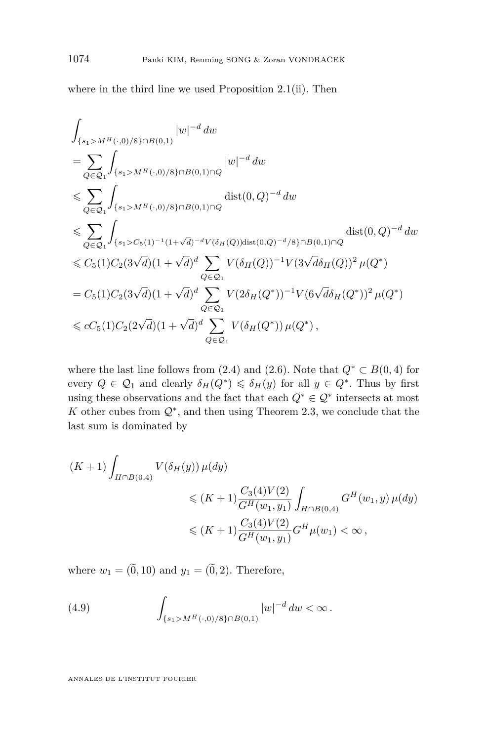<span id="page-30-0"></span>where in the third line we used Proposition [2.1\(](#page-7-0)ii). Then

$$
\int_{\{s_1>M^H(\cdot,0)/8\}\cap B(0,1)} |w|^{-d} dw
$$
\n
$$
= \sum_{Q \in \mathcal{Q}_1} \int_{\{s_1>M^H(\cdot,0)/8\}\cap B(0,1)\cap Q} |w|^{-d} dw
$$
\n
$$
\leqslant \sum_{Q \in \mathcal{Q}_1} \int_{\{s_1>M^H(\cdot,0)/8\}\cap B(0,1)\cap Q} \text{dist}(0,Q)^{-d} dw
$$
\n
$$
\leqslant \sum_{Q \in \mathcal{Q}_1} \int_{\{s_1 > C_5(1)^{-1}(1+\sqrt{d})^{-d}V(\delta_H(Q))\text{dist}(0,Q)^{-d}/8\}\cap B(0,1)\cap Q} \text{dist}(0,Q)^{-d} dw
$$
\n
$$
\leqslant C_5(1)C_2(3\sqrt{d})(1+\sqrt{d})^d \sum_{Q \in \mathcal{Q}_1} V(\delta_H(Q))^{-1}V(3\sqrt{d}\delta_H(Q))^2 \mu(Q^*)
$$
\n
$$
= C_5(1)C_2(3\sqrt{d})(1+\sqrt{d})^d \sum_{Q \in \mathcal{Q}_1} V(2\delta_H(Q^*))^{-1}V(6\sqrt{d}\delta_H(Q^*))^2 \mu(Q^*)
$$
\n
$$
\leqslant cC_5(1)C_2(2\sqrt{d})(1+\sqrt{d})^d \sum_{Q \in \mathcal{Q}_1} V(\delta_H(Q^*)) \mu(Q^*),
$$

where the last line follows from [\(2.4\)](#page-7-0) and [\(2.6\)](#page-7-0). Note that  $Q^* \subset B(0,4)$  for every  $Q \in \mathcal{Q}_1$  and clearly  $\delta_H(Q^*) \leq \delta_H(y)$  for all  $y \in Q^*$ . Thus by first using these observations and the fact that each  $Q^* \in \mathcal{Q}^*$  intersects at most K other cubes from  $\mathcal{Q}^*$ , and then using Theorem [2.3,](#page-8-0) we conclude that the last sum is dominated by

$$
(K+1)\int_{H\cap B(0,4)} V(\delta_H(y)) \,\mu(dy)
$$
  
\$\leqslant (K+1)\frac{C\_3(4)V(2)}{G^H(w\_1,y\_1)}\int\_{H\cap B(0,4)} G^H(w\_1,y) \,\mu(dy)\$  
\$\leqslant (K+1)\frac{C\_3(4)V(2)}{G^H(w\_1,y\_1)}G^H\mu(w\_1)<\infty\$,

where  $w_1 = (\tilde{0}, 10)$  and  $y_1 = (\tilde{0}, 2)$ . Therefore,

(4.9) 
$$
\int_{\{s_1>M^H(\cdot,0)/8\}\cap B(0,1)} |w|^{-d} dw < \infty.
$$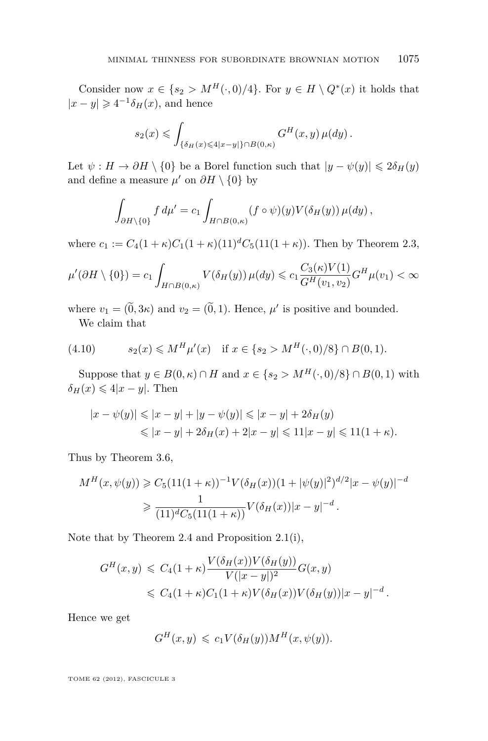<span id="page-31-0"></span>Consider now  $x \in \{s_2 > M^H(\cdot, 0)/4\}$ . For  $y \in H \setminus Q^*(x)$  it holds that  $|x - y|$  ≥ 4<sup>-1</sup> $\delta$ <sub>*H*</sub>(*x*), and hence

$$
s_2(x) \leqslant \int_{\{\delta_H(x)\leqslant 4|x-y|\}\cap B(0,\kappa)} G^H(x,y)\,\mu(dy)\,.
$$

Let  $\psi : H \to \partial H \setminus \{0\}$  be a Borel function such that  $|y - \psi(y)| \leq 2\delta_H(y)$ and define a measure  $\mu'$  on  $\partial H \setminus \{0\}$  by

$$
\int_{\partial H \setminus \{0\}} f d\mu' = c_1 \int_{H \cap B(0,\kappa)} (f \circ \psi)(y) V(\delta_H(y)) \mu(dy),
$$

where  $c_1 := C_4(1+\kappa)C_1(1+\kappa)(11)^dC_5(11(1+\kappa))$ . Then by Theorem [2.3,](#page-8-0)

$$
\mu'(\partial H \setminus \{0\}) = c_1 \int_{H \cap B(0,\kappa)} V(\delta_H(y)) \,\mu(dy) \leqslant c_1 \frac{C_3(\kappa)V(1)}{G^H(v_1,v_2)} G^H \mu(v_1) < \infty
$$

where  $v_1 = (0, 3\kappa)$  and  $v_2 = (0, 1)$ . Hence,  $\mu'$  is positive and bounded. We claim that

(4.10) 
$$
s_2(x) \leq M^H \mu'(x) \quad \text{if } x \in \{s_2 > M^H(\cdot, 0)/8\} \cap B(0, 1).
$$

Suppose that  $y \in B(0, \kappa) \cap H$  and  $x \in \{s_2 > M^H(\cdot, 0)/8\} \cap B(0, 1)$  with  $\delta_H(x) \leq 4|x-y|$ . Then

$$
|x - \psi(y)| \le |x - y| + |y - \psi(y)| \le |x - y| + 2\delta_H(y)
$$
  

$$
\le |x - y| + 2\delta_H(x) + 2|x - y| \le 11|x - y| \le 11(1 + \kappa).
$$

Thus by Theorem [3.6,](#page-17-0)

$$
M^H(x, \psi(y)) \geq C_5 (11(1+\kappa))^{-1} V(\delta_H(x))(1+|\psi(y)|^2)^{d/2} |x - \psi(y)|^{-d}
$$
  
 
$$
\geq \frac{1}{(11)^d C_5 (11(1+\kappa))} V(\delta_H(x)) |x - y|^{-d}.
$$

Note that by Theorem [2.4](#page-9-0) and Proposition [2.1\(](#page-7-0)i),

$$
G^H(x,y) \leq C_4(1+\kappa) \frac{V(\delta_H(x))V(\delta_H(y))}{V(|x-y|)^2} G(x,y)
$$
  
 
$$
\leq C_4(1+\kappa)C_1(1+\kappa)V(\delta_H(x))V(\delta_H(y))|x-y|^{-d}.
$$

Hence we get

$$
G^{H}(x, y) \leqslant c_{1} V(\delta_{H}(y)) M^{H}(x, \psi(y)).
$$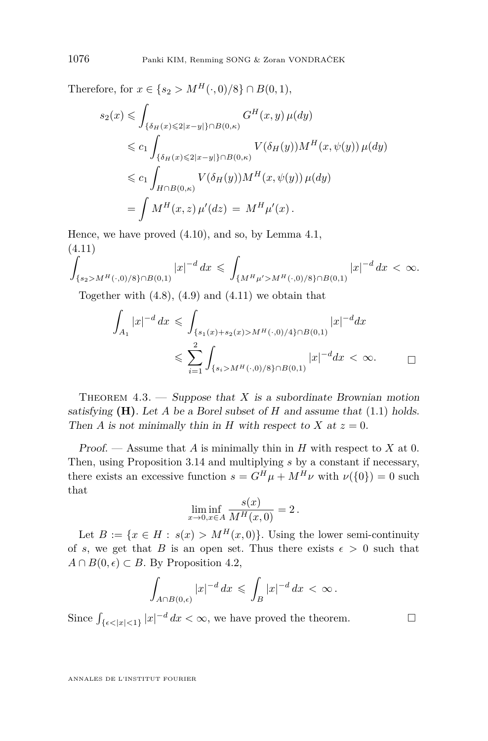Therefore, for  $x \in \{s_2 > M^H(\cdot, 0)/8\} \cap B(0, 1)$ ,

$$
s_2(x) \leq \int_{\{\delta_H(x) \leq 2|x-y|\} \cap B(0,\kappa)} G^H(x,y) \,\mu(dy)
$$
  
\n
$$
\leq c_1 \int_{\{\delta_H(x) \leq 2|x-y|\} \cap B(0,\kappa)} V(\delta_H(y)) M^H(x,\psi(y)) \,\mu(dy)
$$
  
\n
$$
\leq c_1 \int_{H \cap B(0,\kappa)} V(\delta_H(y)) M^H(x,\psi(y)) \,\mu(dy)
$$
  
\n
$$
= \int M^H(x,z) \,\mu'(dz) = M^H \mu'(x).
$$

Hence, we have proved [\(4.10\)](#page-31-0), and so, by Lemma [4.1,](#page-24-0) (4.11)

$$
\int_{\{s_2>M^H(\cdot,0)/8\}\cap B(0,1)} |x|^{-d} dx \leq \int_{\{M^H\mu' > M^H(\cdot,0)/8\}\cap B(0,1)} |x|^{-d} dx < \infty.
$$

Together with  $(4.8)$ ,  $(4.9)$  and  $(4.11)$  we obtain that

$$
\int_{A_1} |x|^{-d} dx \leq \int_{\{s_1(x) + s_2(x) > M^H(\cdot, 0)/4\} \cap B(0, 1)} |x|^{-d} dx
$$
  

$$
\leq \sum_{i=1}^2 \int_{\{s_i > M^H(\cdot, 0)/8\} \cap B(0, 1)} |x|^{-d} dx < \infty.
$$

THEOREM  $4.3.$  — Suppose that *X* is a subordinate Brownian motion satisfying  $(H)$ . Let A be a Borel subset of H and assume that  $(1.1)$  holds. Then *A* is not minimally thin in *H* with respect to *X* at  $z = 0$ .

Proof. — Assume that *A* is minimally thin in *H* with respect to *X* at 0. Then, using Proposition [3.14](#page-24-0) and multiplying *s* by a constant if necessary, there exists an excessive function  $s = G^H \mu + M^H \nu$  with  $\nu({0}) = 0$  such that

$$
\liminf_{x \to 0, x \in A} \frac{s(x)}{M^H(x, 0)} = 2.
$$

Let  $B := \{x \in H : s(x) > M^H(x,0)\}\.$  Using the lower semi-continuity of *s*, we get that *B* is an open set. Thus there exists  $\epsilon > 0$  such that  $A ∩ B(0, \epsilon) ⊂ B$ . By Proposition [4.2,](#page-28-0)

$$
\int_{A\cap B(0,\epsilon)}|x|^{-d}\,dx\,\leqslant\,\int_{B}|x|^{-d}\,dx\,<\,\infty\,.
$$

Since  $\int_{\{\epsilon < |x| < 1\}} |x|^{-d} dx < \infty$ , we have proved the theorem.

<span id="page-32-0"></span>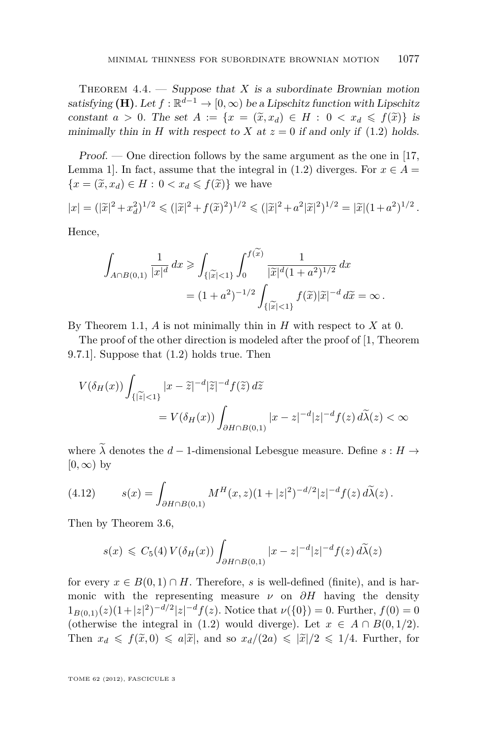<span id="page-33-0"></span>THEOREM  $4.4.$  — Suppose that *X* is a subordinate Brownian motion satisfying **(H)**. Let  $f : \mathbb{R}^{d-1} \to [0, \infty)$  be a Lipschitz function with Lipschitz constant  $a > 0$ . The set  $A := \{x = (\tilde{x}, x_d) \in H : 0 < x_d \le f(\tilde{x})\}$  is minimally thin in *H* with respect to *X* at  $z = 0$  if and only if [\(1.2\)](#page-2-0) holds.

Proof. — One direction follows by the same argument as the one in [\[17,](#page-35-0) Lemma 1]. In fact, assume that the integral in [\(1.2\)](#page-2-0) diverges. For  $x \in A =$  ${x = (\tilde{x}, x_d) \in H : 0 < x_d \leq f(\tilde{x})}$  we have

$$
|x| = (|\widetilde{x}|^2 + x_d^2)^{1/2} \leq (|\widetilde{x}|^2 + f(\widetilde{x})^2)^{1/2} \leq (|\widetilde{x}|^2 + a^2|\widetilde{x}|^2)^{1/2} = |\widetilde{x}|(1+a^2)^{1/2}.
$$

Hence,

$$
\int_{A \cap B(0,1)} \frac{1}{|x|^d} dx \ge \int_{\{|\tilde{x}| < 1\}} \int_0^{f(x)} \frac{1}{|\tilde{x}|^d (1+a^2)^{1/2}} dx
$$
  
=  $(1+a^2)^{-1/2} \int_{\{|\tilde{x}| < 1\}} f(\tilde{x}) |\tilde{x}|^{-d} d\tilde{x} = \infty.$ 

By Theorem [1.1,](#page-2-0) *A* is not minimally thin in *H* with respect to *X* at 0.

The proof of the other direction is modeled after the proof of [\[1,](#page-34-0) Theorem 9.7.1]. Suppose that [\(1.2\)](#page-2-0) holds true. Then

$$
V(\delta_H(x)) \int_{\{|\widetilde{z}| < 1\}} |x - \widetilde{z}|^{-d} |\widetilde{z}|^{-d} f(\widetilde{z}) d\widetilde{z}
$$
\n
$$
= V(\delta_H(x)) \int_{\partial H \cap B(0,1)} |x - z|^{-d} |z|^{-d} f(z) d\widetilde{\lambda}(z) < \infty
$$

where  $\lambda$  denotes the  $d-1$ -dimensional Lebesgue measure. Define  $s : H \to$  $[0, \infty)$  by

(4.12) 
$$
s(x) = \int_{\partial H \cap B(0,1)} M^H(x,z)(1+|z|^2)^{-d/2}|z|^{-d} f(z) d\widetilde{\lambda}(z).
$$

Then by Theorem [3.6,](#page-17-0)

$$
s(x) \leq C_5(4) V(\delta_H(x)) \int_{\partial H \cap B(0,1)} |x - z|^{-d} |z|^{-d} f(z) d\widetilde{\lambda}(z)
$$

for every  $x \in B(0,1) \cap H$ . Therefore, *s* is well-defined (finite), and is harmonic with the representing measure  $\nu$  on  $\partial H$  having the density  $1_{B(0,1)}(z)(1+|z|^2)^{-d/2}|z|^{-d}f(z)$ . Notice that  $\nu(\{0\})=0$ . Further,  $f(0)=0$ (otherwise the integral in [\(1.2\)](#page-2-0) would diverge). Let  $x \in A \cap B(0, 1/2)$ . Then  $x_d \leq f(\tilde{x},0) \leq a|\tilde{x}|$ , and so  $x_d/(2a) \leq |\tilde{x}|/2 \leq 1/4$ . Further, for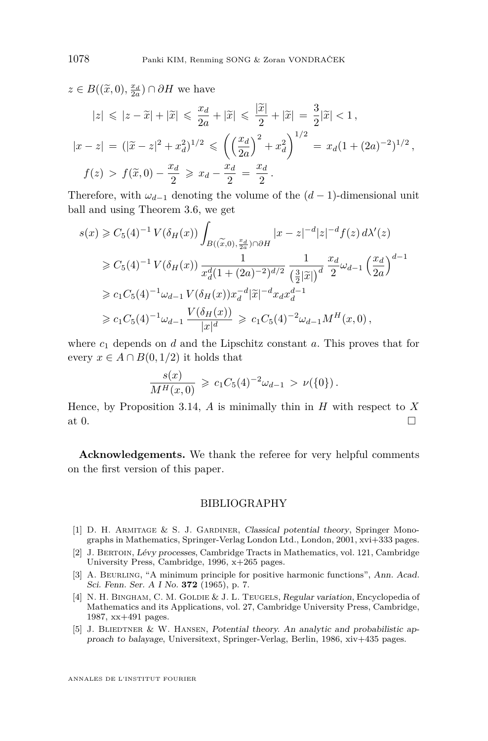<span id="page-34-0"></span> $z \in B((\tilde{x},0),\frac{x_d}{2a}) \cap \partial H$  we have

$$
|z| \le |z - \tilde{x}| + |\tilde{x}| \le \frac{x_d}{2a} + |\tilde{x}| \le \frac{|\tilde{x}|}{2} + |\tilde{x}| = \frac{3}{2} |\tilde{x}| < 1,
$$
  

$$
|x - z| = (|\tilde{x} - z|^2 + x_d^2)^{1/2} \le \left(\left(\frac{x_d}{2a}\right)^2 + x_d^2\right)^{1/2} = x_d (1 + (2a)^{-2})^{1/2},
$$
  

$$
f(z) > f(\tilde{x}, 0) - \frac{x_d}{2} \ge x_d - \frac{x_d}{2} = \frac{x_d}{2}.
$$

Therefore, with  $\omega_{d-1}$  denoting the volume of the  $(d-1)$ -dimensional unit ball and using Theorem [3.6,](#page-17-0) we get

$$
s(x) \geq C_5(4)^{-1} V(\delta_H(x)) \int_{B((\widetilde{x},0),\frac{x_d}{2a}) \cap \partial H} |x-z|^{-d} |z|^{-d} f(z) d\lambda'(z)
$$
  
\n
$$
\geq C_5(4)^{-1} V(\delta_H(x)) \frac{1}{x_d^d (1 + (2a)^{-2})^{d/2}} \frac{1}{(\frac{3}{2}|\widetilde{x}|)^d} \frac{x_d}{2} \omega_{d-1} (\frac{x_d}{2a})^{d-1}
$$
  
\n
$$
\geq c_1 C_5(4)^{-1} \omega_{d-1} V(\delta_H(x)) x_d^{-d} |\widetilde{x}|^{-d} x_d x_d^{d-1}
$$
  
\n
$$
\geq c_1 C_5(4)^{-1} \omega_{d-1} \frac{V(\delta_H(x))}{|x|^d} \geq c_1 C_5(4)^{-2} \omega_{d-1} M^H(x, 0),
$$

where  $c_1$  depends on  $d$  and the Lipschitz constant  $a$ . This proves that for every  $x \in A \cap B(0, 1/2)$  it holds that

$$
\frac{s(x)}{M^H(x,0)} \geqslant c_1 C_5(4)^{-2} \omega_{d-1} > \nu(\{0\}).
$$

Hence, by Proposition [3.14,](#page-24-0) *A* is minimally thin in *H* with respect to *X* at 0.

**Acknowledgements.** We thank the referee for very helpful comments on the first version of this paper.

#### BIBLIOGRAPHY

- [1] D. H. ARMITAGE & S. J. GARDINER, Classical potential theory, Springer Monographs in Mathematics, Springer-Verlag London Ltd., London, 2001, xvi+333 pages.
- [2] J. Bertoin, Lévy processes, Cambridge Tracts in Mathematics, vol. 121, Cambridge University Press, Cambridge, 1996, x+265 pages.
- [3] A. Beurling, "A minimum principle for positive harmonic functions", Ann. Acad. Sci. Fenn. Ser. A I No. **372** (1965), p. 7.
- [4] N. H. BINGHAM, C. M. GOLDIE & J. L. TEUGELS, Regular variation, Encyclopedia of Mathematics and its Applications, vol. 27, Cambridge University Press, Cambridge, 1987, xx+491 pages.
- [5] J. BLIEDTNER & W. HANSEN, Potential theory. An analytic and probabilistic approach to balayage, Universitext, Springer-Verlag, Berlin, 1986, xiv+435 pages.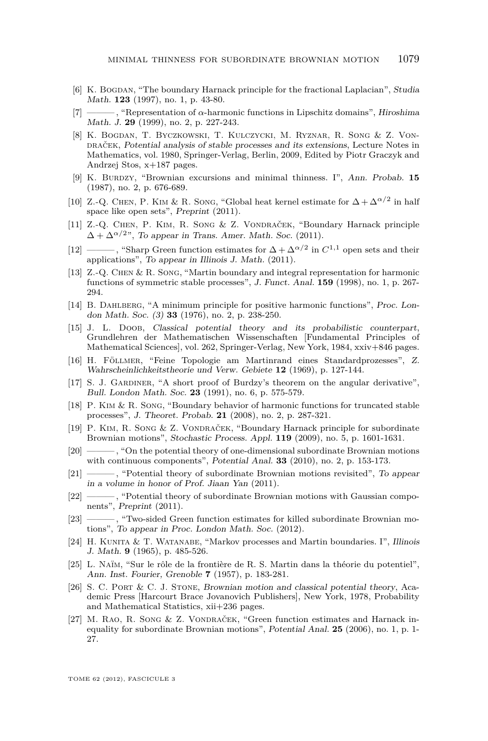- <span id="page-35-0"></span>[6] K. BOGDAN, "The boundary Harnack principle for the fractional Laplacian", Studia Math. **123** (1997), no. 1, p. 43-80.
- [7] ——— , "Representation of *α*-harmonic functions in Lipschitz domains", Hiroshima Math. J. **29** (1999), no. 2, p. 227-243.
- [8] K. Bogdan, T. Byczkowski, T. Kulczycki, M. Ryznar, R. Song & Z. Vondraček, Potential analysis of stable processes and its extensions, Lecture Notes in Mathematics, vol. 1980, Springer-Verlag, Berlin, 2009, Edited by Piotr Graczyk and Andrzej Stos, x+187 pages.
- [9] K. Burdzy, "Brownian excursions and minimal thinness. I", Ann. Probab. **15** (1987), no. 2, p. 676-689.
- [10] Z.-Q. CHEN, P. KIM & R. SONG, "Global heat kernel estimate for  $\Delta + \Delta^{\alpha/2}$  in half space like open sets", Preprint (2011).
- [11] Z.-Q. Chen, P. Kim, R. Song & Z. Vondraček, "Boundary Harnack principle  $\Delta + \Delta^{\alpha/2}$ ", To appear in Trans. Amer. Math. Soc. (2011).
- [12] ———, "Sharp Green function estimates for  $\Delta + \Delta^{\alpha/2}$  in  $C^{1,1}$  open sets and their applications", To appear in Illinois J. Math. (2011).
- [13] Z.-Q. Chen & R. Song, "Martin boundary and integral representation for harmonic functions of symmetric stable processes", J. Funct. Anal. **159** (1998), no. 1, p. 267- 294.
- [14] B. Dahlberg, "A minimum principle for positive harmonic functions", Proc. London Math. Soc. (3) **33** (1976), no. 2, p. 238-250.
- [15] J. L. Doob, Classical potential theory and its probabilistic counterpart, Grundlehren der Mathematischen Wissenschaften [Fundamental Principles of Mathematical Sciences], vol. 262, Springer-Verlag, New York, 1984, xxiv+846 pages.
- [16] H. Föllmer, "Feine Topologie am Martinrand eines Standardprozesses", Z. Wahrscheinlichkeitstheorie und Verw. Gebiete **12** (1969), p. 127-144.
- [17] S. J. Gardiner, "A short proof of Burdzy's theorem on the angular derivative", Bull. London Math. Soc. **23** (1991), no. 6, p. 575-579.
- [18] P. Kim & R. Song, "Boundary behavior of harmonic functions for truncated stable processes", J. Theoret. Probab. **21** (2008), no. 2, p. 287-321.
- [19] P. Kim, R. Song & Z. Vondraček, "Boundary Harnack principle for subordinate Brownian motions", Stochastic Process. Appl. **119** (2009), no. 5, p. 1601-1631.
- [20] ——— , "On the potential theory of one-dimensional subordinate Brownian motions with continuous components", Potential Anal. **33** (2010), no. 2, p. 153-173.
- [21] ——— , "Potential theory of subordinate Brownian motions revisited", To appear in a volume in honor of Prof. Jiaan Yan (2011).
- [22] ——, "Potential theory of subordinate Brownian motions with Gaussian components", Preprint (2011).
- [23] ——— , "Two-sided Green function estimates for killed subordinate Brownian motions", To appear in Proc. London Math. Soc. (2012).
- [24] H. Kunita & T. Watanabe, "Markov processes and Martin boundaries. I", Illinois J. Math. **9** (1965), p. 485-526.
- [25] L. Naïm, "Sur le rôle de la frontière de R. S. Martin dans la théorie du potentiel", Ann. Inst. Fourier, Grenoble **7** (1957), p. 183-281.
- [26] S. C. Port & C. J. Stone, Brownian motion and classical potential theory, Academic Press [Harcourt Brace Jovanovich Publishers], New York, 1978, Probability and Mathematical Statistics, xii+236 pages.
- [27] M. Rao, R. Song & Z. Vondraček, "Green function estimates and Harnack inequality for subordinate Brownian motions", Potential Anal. **25** (2006), no. 1, p. 1- 27.